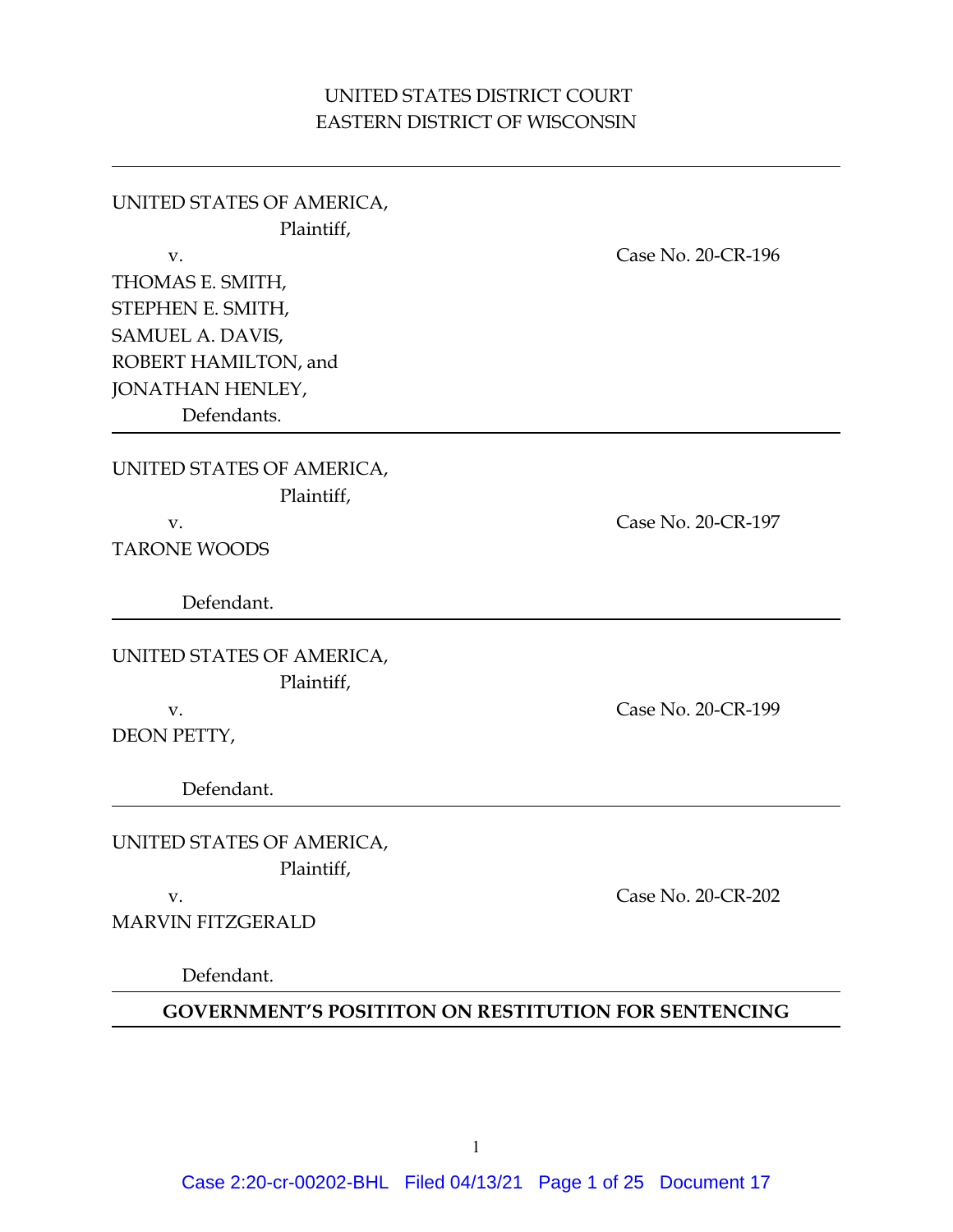# UNITED STATES DISTRICT COURT EASTERN DISTRICT OF WISCONSIN

UNITED STATES OF AMERICA, Plaintiff, v. Case No. 20-CR-196 THOMAS E. SMITH, STEPHEN E. SMITH, SAMUEL A. DAVIS, ROBERT HAMILTON, and JONATHAN HENLEY, Defendants.

UNITED STATES OF AMERICA, Plaintiff,

TARONE WOODS

Defendant.

UNITED STATES OF AMERICA, Plaintiff,

DEON PETTY,

Defendant.

UNITED STATES OF AMERICA, Plaintiff,

MARVIN FITZGERALD

Defendant.

**GOVERNMENT'S POSITITON ON RESTITUTION FOR SENTENCING**

v. Case No. 20-CR-199

v. Case No. 20-CR-202

Case 2:20-cr-00202-BHL Filed 04/13/21 Page 1 of 25 Document 17

v. Case No. 20-CR-197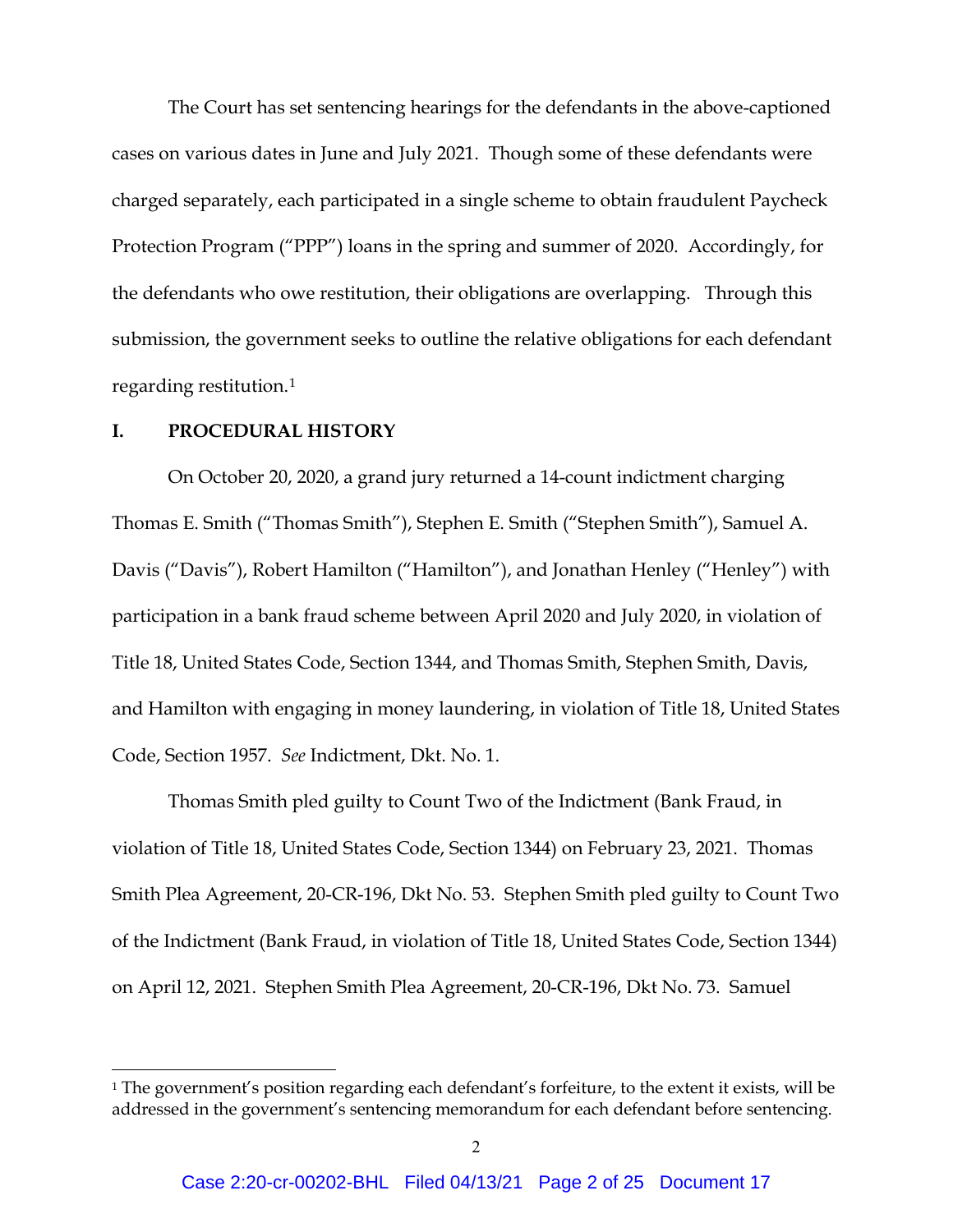The Court has set sentencing hearings for the defendants in the above-captioned cases on various dates in June and July 2021. Though some of these defendants were charged separately, each participated in a single scheme to obtain fraudulent Paycheck Protection Program ("PPP") loans in the spring and summer of 2020. Accordingly, for the defendants who owe restitution, their obligations are overlapping. Through this submission, the government seeks to outline the relative obligations for each defendant regarding restitution.[1](#page-1-0)

#### **I. PROCEDURAL HISTORY**

On October 20, 2020, a grand jury returned a 14-count indictment charging Thomas E. Smith ("Thomas Smith"), Stephen E. Smith ("Stephen Smith"), Samuel A. Davis ("Davis"), Robert Hamilton ("Hamilton"), and Jonathan Henley ("Henley") with participation in a bank fraud scheme between April 2020 and July 2020, in violation of Title 18, United States Code, Section 1344, and Thomas Smith, Stephen Smith, Davis, and Hamilton with engaging in money laundering, in violation of Title 18, United States Code, Section 1957. *See* Indictment, Dkt. No. 1.

Thomas Smith pled guilty to Count Two of the Indictment (Bank Fraud, in violation of Title 18, United States Code, Section 1344) on February 23, 2021. Thomas Smith Plea Agreement, 20-CR-196, Dkt No. 53. Stephen Smith pled guilty to Count Two of the Indictment (Bank Fraud, in violation of Title 18, United States Code, Section 1344) on April 12, 2021. Stephen Smith Plea Agreement, 20-CR-196, Dkt No. 73. Samuel

<span id="page-1-0"></span><sup>&</sup>lt;sup>1</sup> The government's position regarding each defendant's forfeiture, to the extent it exists, will be addressed in the government's sentencing memorandum for each defendant before sentencing.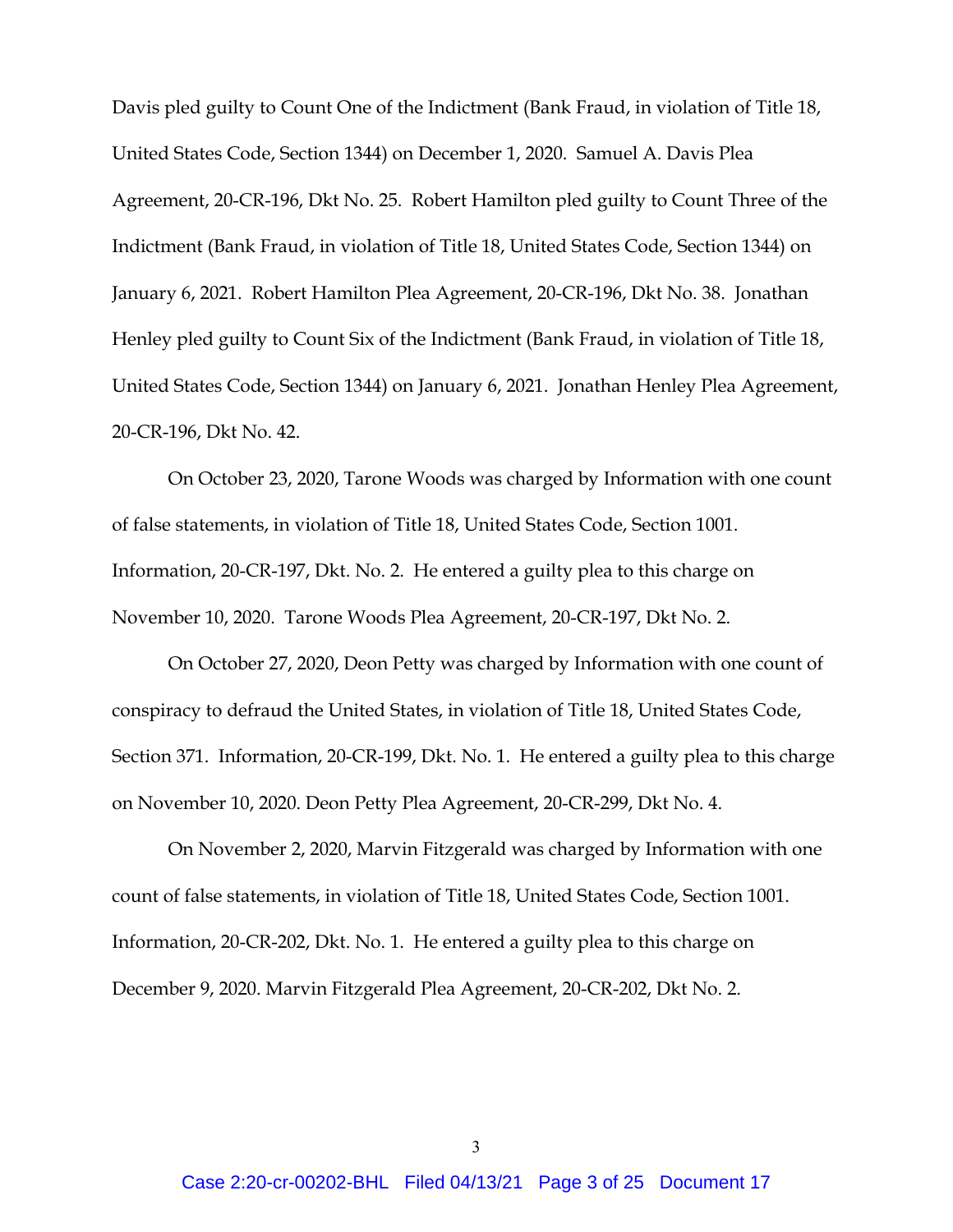Davis pled guilty to Count One of the Indictment (Bank Fraud, in violation of Title 18, United States Code, Section 1344) on December 1, 2020. Samuel A. Davis Plea Agreement, 20-CR-196, Dkt No. 25. Robert Hamilton pled guilty to Count Three of the Indictment (Bank Fraud, in violation of Title 18, United States Code, Section 1344) on January 6, 2021. Robert Hamilton Plea Agreement, 20-CR-196, Dkt No. 38. Jonathan Henley pled guilty to Count Six of the Indictment (Bank Fraud, in violation of Title 18, United States Code, Section 1344) on January 6, 2021. Jonathan Henley Plea Agreement, 20-CR-196, Dkt No. 42.

On October 23, 2020, Tarone Woods was charged by Information with one count of false statements, in violation of Title 18, United States Code, Section 1001. Information, 20-CR-197, Dkt. No. 2. He entered a guilty plea to this charge on November 10, 2020. Tarone Woods Plea Agreement, 20-CR-197, Dkt No. 2.

On October 27, 2020, Deon Petty was charged by Information with one count of conspiracy to defraud the United States, in violation of Title 18, United States Code, Section 371. Information, 20-CR-199, Dkt. No. 1. He entered a guilty plea to this charge on November 10, 2020. Deon Petty Plea Agreement, 20-CR-299, Dkt No. 4.

On November 2, 2020, Marvin Fitzgerald was charged by Information with one count of false statements, in violation of Title 18, United States Code, Section 1001. Information, 20-CR-202, Dkt. No. 1. He entered a guilty plea to this charge on December 9, 2020. Marvin Fitzgerald Plea Agreement, 20-CR-202, Dkt No. 2.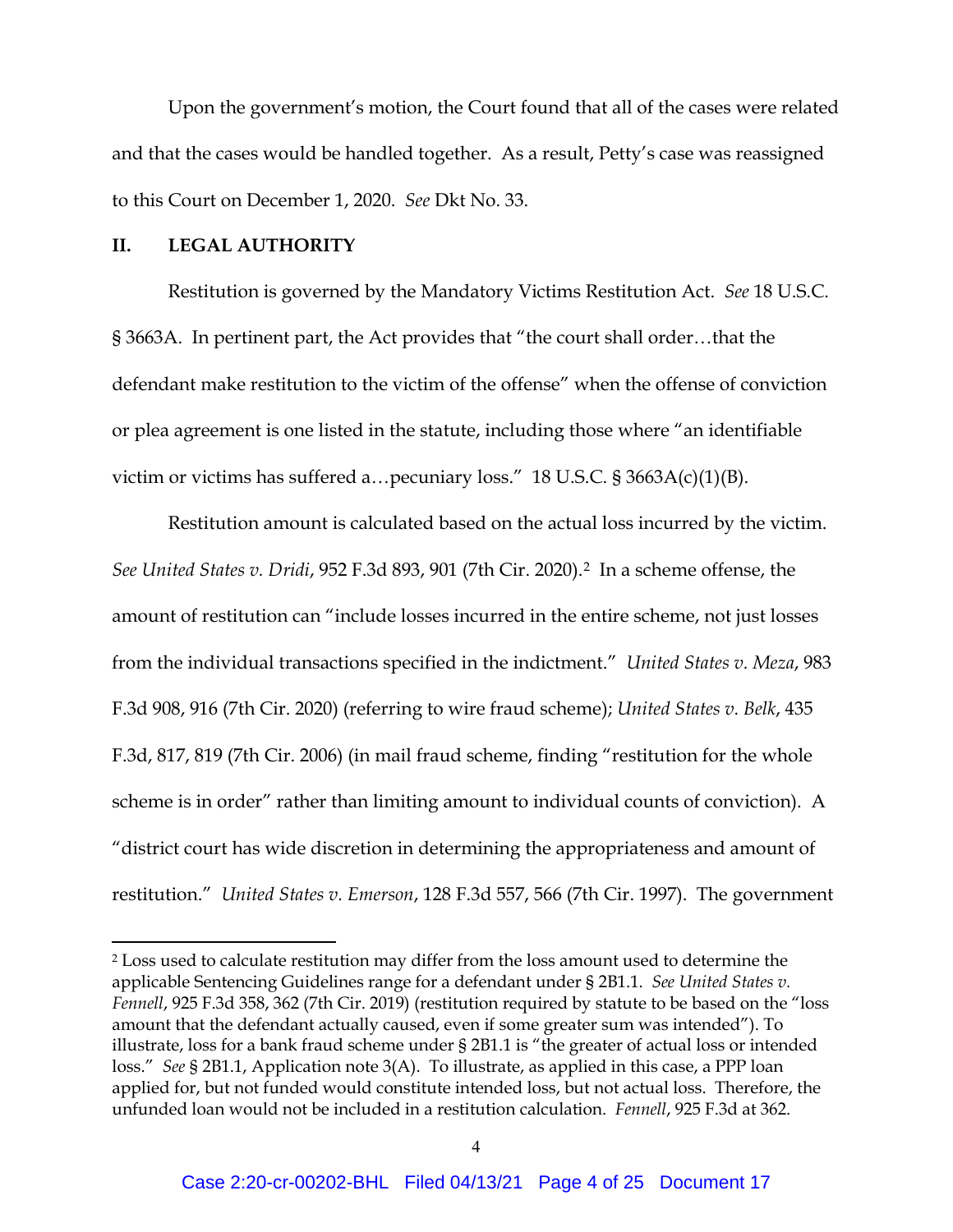Upon the government's motion, the Court found that all of the cases were related and that the cases would be handled together. As a result, Petty's case was reassigned to this Court on December 1, 2020. *See* Dkt No. 33.

#### **II. LEGAL AUTHORITY**

Restitution is governed by the Mandatory Victims Restitution Act. *See* 18 U.S.C. § 3663A. In pertinent part, the Act provides that "the court shall order…that the defendant make restitution to the victim of the offense" when the offense of conviction or plea agreement is one listed in the statute, including those where "an identifiable victim or victims has suffered a…pecuniary loss." 18 U.S.C. § 3663A(c)(1)(B).

Restitution amount is calculated based on the actual loss incurred by the victim. *See United States v. Dridi*, 952 F.3d 893, 901 (7th Cir. 2020).[2](#page-3-0) In a scheme offense, the amount of restitution can "include losses incurred in the entire scheme, not just losses from the individual transactions specified in the indictment." *United States v. Meza*, 983 F.3d 908, 916 (7th Cir. 2020) (referring to wire fraud scheme); *United States v. Belk*, 435 F.3d, 817, 819 (7th Cir. 2006) (in mail fraud scheme, finding "restitution for the whole scheme is in order" rather than limiting amount to individual counts of conviction). A "district court has wide discretion in determining the appropriateness and amount of restitution." *United States v. Emerson*, 128 F.3d 557, 566 (7th Cir. 1997). The government

<span id="page-3-0"></span><sup>2</sup> Loss used to calculate restitution may differ from the loss amount used to determine the applicable Sentencing Guidelines range for a defendant under § 2B1.1. *See United States v. Fennell*, 925 F.3d 358, 362 (7th Cir. 2019) (restitution required by statute to be based on the "loss amount that the defendant actually caused, even if some greater sum was intended"). To illustrate, loss for a bank fraud scheme under § 2B1.1 is "the greater of actual loss or intended loss." *See* § 2B1.1, Application note 3(A). To illustrate, as applied in this case, a PPP loan applied for, but not funded would constitute intended loss, but not actual loss. Therefore, the unfunded loan would not be included in a restitution calculation. *Fennell*, 925 F.3d at 362.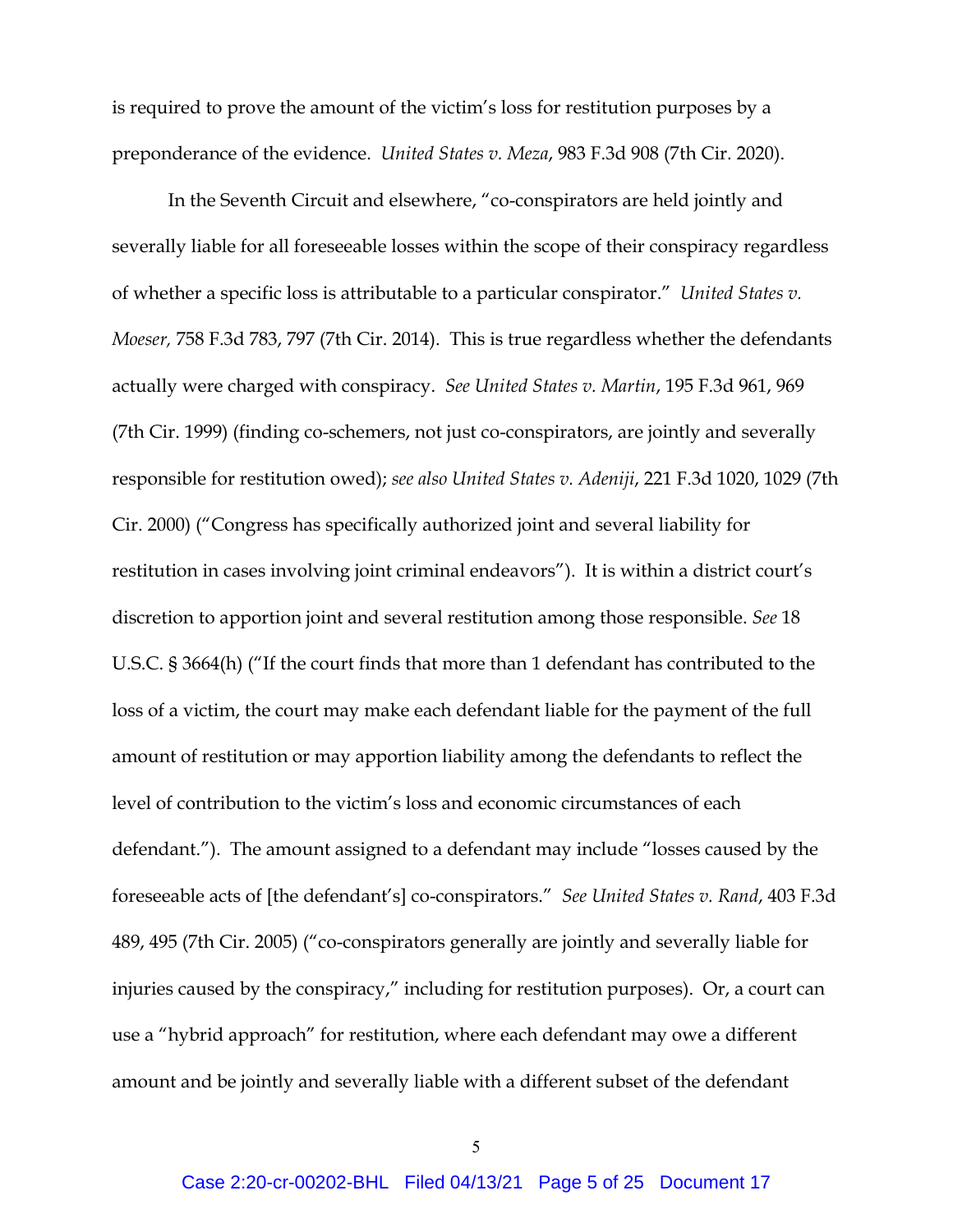is required to prove the amount of the victim's loss for restitution purposes by a preponderance of the evidence. *United States v. Meza*, 983 F.3d 908 (7th Cir. 2020).

In the Seventh Circuit and elsewhere, "co-conspirators are held jointly and severally liable for all foreseeable losses within the scope of their conspiracy regardless of whether a specific loss is attributable to a particular conspirator." *United States v. Moeser,* 758 F.3d 783, 797 (7th Cir. 2014). This is true regardless whether the defendants actually were charged with conspiracy. *See United States v. Martin*, 195 F.3d 961, 969 (7th Cir. 1999) (finding co-schemers, not just co-conspirators, are jointly and severally responsible for restitution owed); *see also United States v. Adeniji*, 221 F.3d 1020, 1029 (7th Cir. 2000) ("Congress has specifically authorized joint and several liability for restitution in cases involving joint criminal endeavors"). It is within a district court's discretion to apportion joint and several restitution among those responsible. *See* 18 U.S.C. § 3664(h) ("If the court finds that more than 1 defendant has contributed to the loss of a victim, the court may make each defendant liable for the payment of the full amount of restitution or may apportion liability among the defendants to reflect the level of contribution to the victim's loss and economic circumstances of each defendant."). The amount assigned to a defendant may include "losses caused by the foreseeable acts of [the defendant's] co-conspirators." *See United States v. Rand*, 403 F.3d 489, 495 (7th Cir. 2005) ("co-conspirators generally are jointly and severally liable for injuries caused by the conspiracy," including for restitution purposes). Or, a court can use a "hybrid approach" for restitution, where each defendant may owe a different amount and be jointly and severally liable with a different subset of the defendant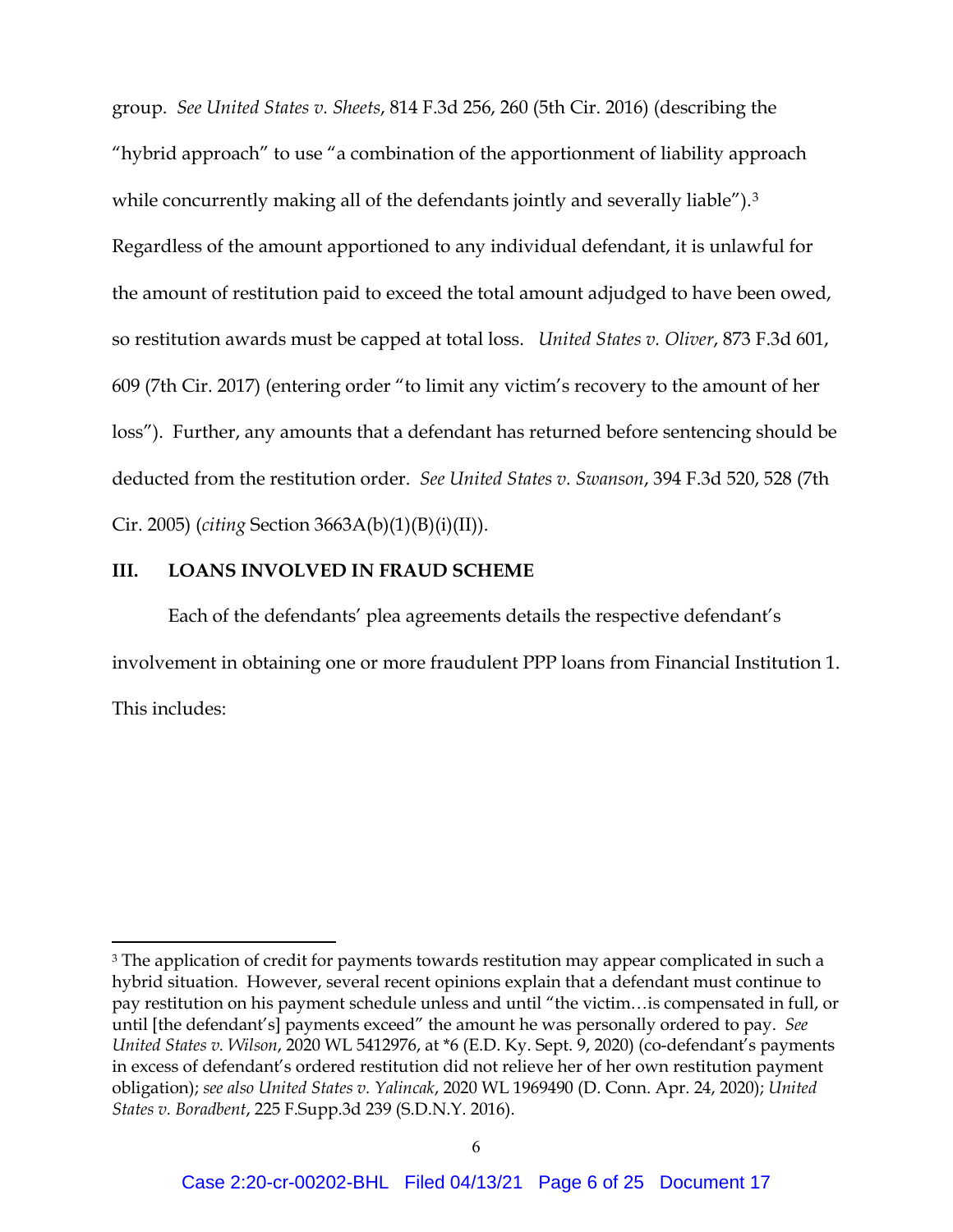group. *See United States v. Sheets*, 814 F.3d 256, 260 (5th Cir. 2016) (describing the "hybrid approach" to use "a combination of the apportionment of liability approach while concurrently making all of the defendants jointly and severally liable").<sup>3</sup> Regardless of the amount apportioned to any individual defendant, it is unlawful for the amount of restitution paid to exceed the total amount adjudged to have been owed, so restitution awards must be capped at total loss. *United States v. Oliver*, 873 F.3d 601, 609 (7th Cir. 2017) (entering order "to limit any victim's recovery to the amount of her loss"). Further, any amounts that a defendant has returned before sentencing should be deducted from the restitution order. *See United States v. Swanson*, 394 F.3d 520, 528 (7th Cir. 2005) (*citing* Section 3663A(b)(1)(B)(i)(II)).

### **III. LOANS INVOLVED IN FRAUD SCHEME**

Each of the defendants' plea agreements details the respective defendant's involvement in obtaining one or more fraudulent PPP loans from Financial Institution 1. This includes:

<span id="page-5-0"></span><sup>&</sup>lt;sup>3</sup> The application of credit for payments towards restitution may appear complicated in such a hybrid situation. However, several recent opinions explain that a defendant must continue to pay restitution on his payment schedule unless and until "the victim…is compensated in full, or until [the defendant's] payments exceed" the amount he was personally ordered to pay. *See United States v. Wilson*, 2020 WL 5412976, at \*6 (E.D. Ky. Sept. 9, 2020) (co-defendant's payments in excess of defendant's ordered restitution did not relieve her of her own restitution payment obligation); *see also United States v. Yalincak*, 2020 WL 1969490 (D. Conn. Apr. 24, 2020); *United States v. Boradbent*, 225 F.Supp.3d 239 (S.D.N.Y. 2016).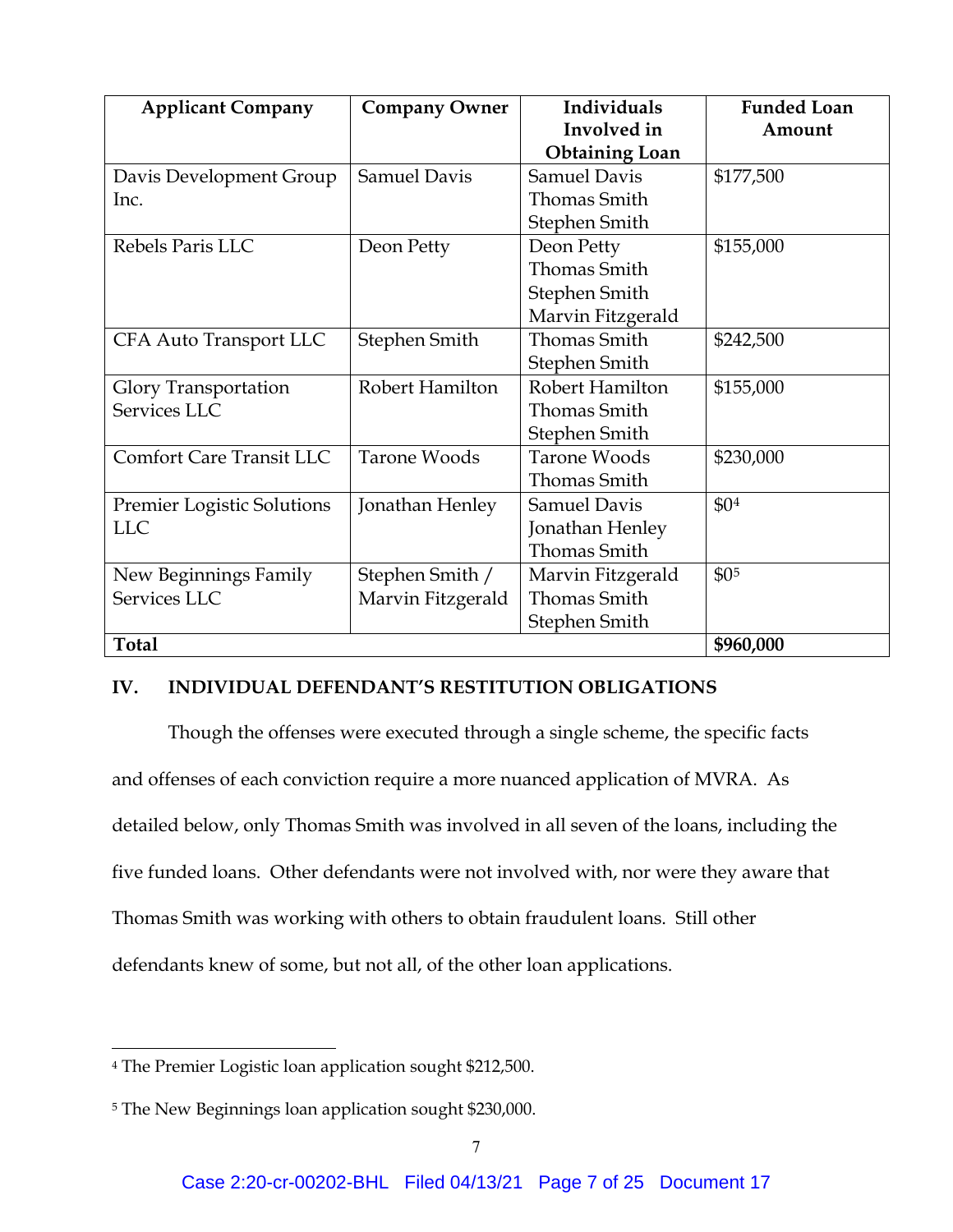| <b>Applicant Company</b>          | <b>Company Owner</b> | Individuals           | <b>Funded Loan</b> |
|-----------------------------------|----------------------|-----------------------|--------------------|
|                                   |                      | Involved in           | Amount             |
|                                   |                      | <b>Obtaining Loan</b> |                    |
| Davis Development Group           | <b>Samuel Davis</b>  | <b>Samuel Davis</b>   | \$177,500          |
| Inc.                              |                      | <b>Thomas Smith</b>   |                    |
|                                   |                      | Stephen Smith         |                    |
| Rebels Paris LLC                  | Deon Petty           | Deon Petty            | \$155,000          |
|                                   |                      | <b>Thomas Smith</b>   |                    |
|                                   |                      | Stephen Smith         |                    |
|                                   |                      | Marvin Fitzgerald     |                    |
| <b>CFA Auto Transport LLC</b>     | Stephen Smith        | <b>Thomas Smith</b>   | \$242,500          |
|                                   |                      | Stephen Smith         |                    |
| <b>Glory Transportation</b>       | Robert Hamilton      | Robert Hamilton       | \$155,000          |
| Services LLC                      |                      | <b>Thomas Smith</b>   |                    |
|                                   |                      | Stephen Smith         |                    |
| <b>Comfort Care Transit LLC</b>   | <b>Tarone Woods</b>  | Tarone Woods          | \$230,000          |
|                                   |                      | <b>Thomas Smith</b>   |                    |
| <b>Premier Logistic Solutions</b> | Jonathan Henley      | <b>Samuel Davis</b>   | \$0 <sup>4</sup>   |
| <b>LLC</b>                        |                      | Jonathan Henley       |                    |
|                                   |                      | <b>Thomas Smith</b>   |                    |
| New Beginnings Family             | Stephen Smith /      | Marvin Fitzgerald     | \$0 <sub>5</sub>   |
| Services LLC                      | Marvin Fitzgerald    | <b>Thomas Smith</b>   |                    |
|                                   |                      | Stephen Smith         |                    |
| <b>Total</b>                      |                      |                       | \$960,000          |

### **IV. INDIVIDUAL DEFENDANT'S RESTITUTION OBLIGATIONS**

Though the offenses were executed through a single scheme, the specific facts and offenses of each conviction require a more nuanced application of MVRA. As detailed below, only Thomas Smith was involved in all seven of the loans, including the five funded loans. Other defendants were not involved with, nor were they aware that Thomas Smith was working with others to obtain fraudulent loans. Still other defendants knew of some, but not all, of the other loan applications.

<span id="page-6-0"></span><sup>4</sup> The Premier Logistic loan application sought \$212,500.

<span id="page-6-1"></span><sup>5</sup> The New Beginnings loan application sought \$230,000.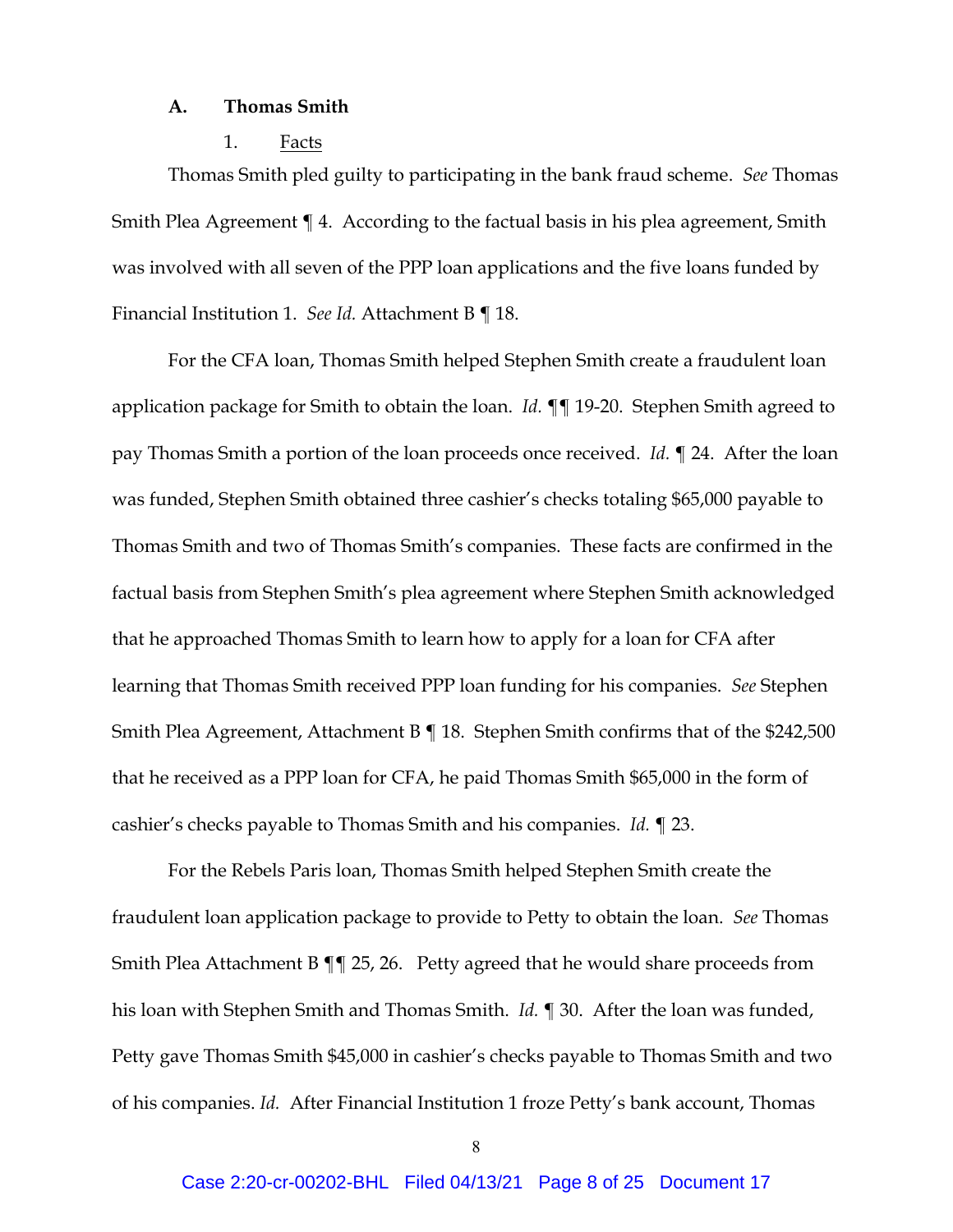### **A. Thomas Smith**

#### 1. Facts

Thomas Smith pled guilty to participating in the bank fraud scheme. *See* Thomas Smith Plea Agreement ¶ 4. According to the factual basis in his plea agreement, Smith was involved with all seven of the PPP loan applications and the five loans funded by Financial Institution 1. *See Id.* Attachment B ¶ 18.

For the CFA loan, Thomas Smith helped Stephen Smith create a fraudulent loan application package for Smith to obtain the loan. *Id.* ¶¶ 19-20. Stephen Smith agreed to pay Thomas Smith a portion of the loan proceeds once received. *Id.* ¶ 24. After the loan was funded, Stephen Smith obtained three cashier's checks totaling \$65,000 payable to Thomas Smith and two of Thomas Smith's companies. These facts are confirmed in the factual basis from Stephen Smith's plea agreement where Stephen Smith acknowledged that he approached Thomas Smith to learn how to apply for a loan for CFA after learning that Thomas Smith received PPP loan funding for his companies. *See* Stephen Smith Plea Agreement, Attachment B ¶ 18. Stephen Smith confirms that of the \$242,500 that he received as a PPP loan for CFA, he paid Thomas Smith \$65,000 in the form of cashier's checks payable to Thomas Smith and his companies. *Id.* ¶ 23.

For the Rebels Paris loan, Thomas Smith helped Stephen Smith create the fraudulent loan application package to provide to Petty to obtain the loan. *See* Thomas Smith Plea Attachment B ¶¶ 25, 26. Petty agreed that he would share proceeds from his loan with Stephen Smith and Thomas Smith. *Id.* ¶ 30. After the loan was funded, Petty gave Thomas Smith \$45,000 in cashier's checks payable to Thomas Smith and two of his companies. *Id.* After Financial Institution 1 froze Petty's bank account, Thomas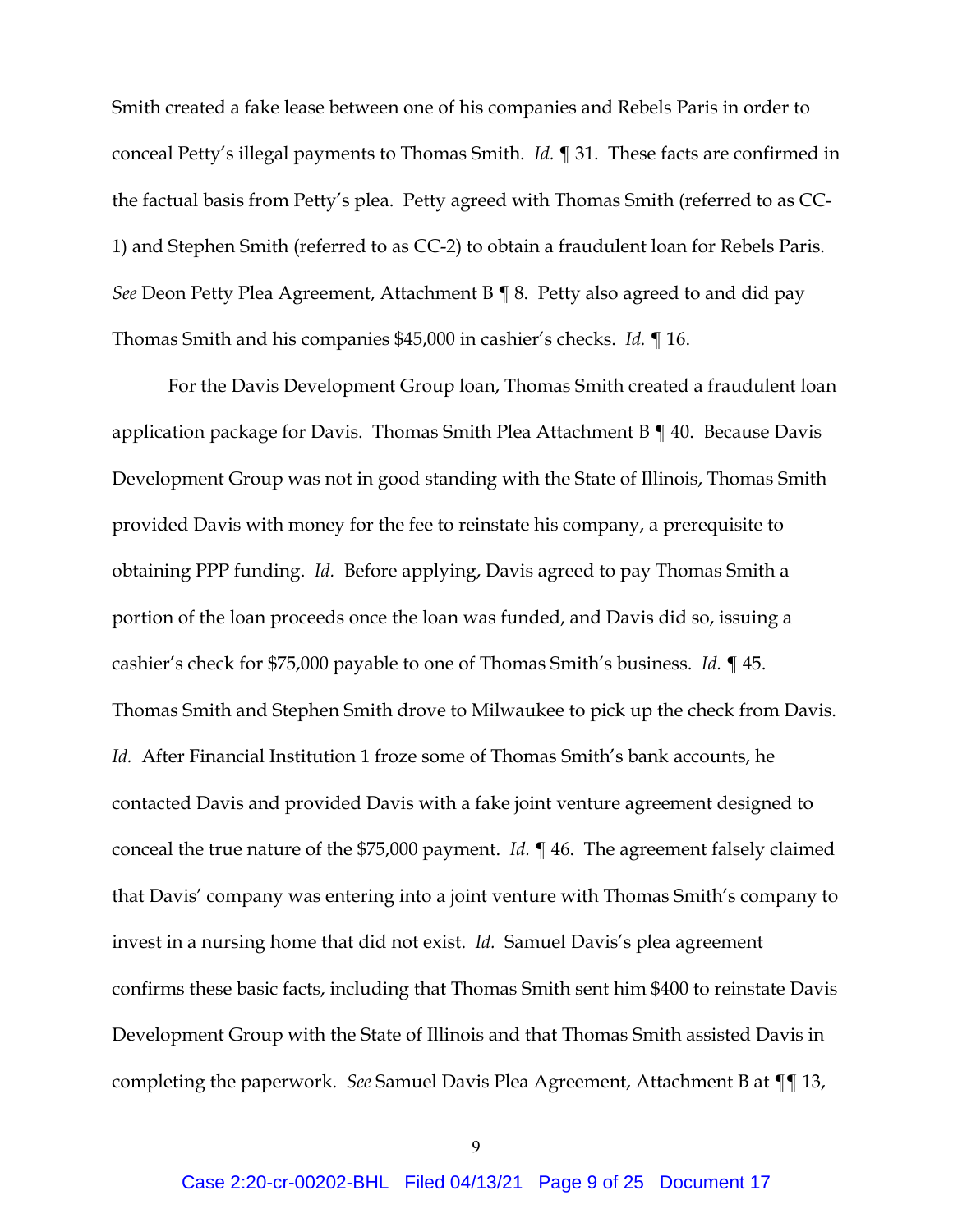Smith created a fake lease between one of his companies and Rebels Paris in order to conceal Petty's illegal payments to Thomas Smith. *Id.* ¶ 31. These facts are confirmed in the factual basis from Petty's plea. Petty agreed with Thomas Smith (referred to as CC-1) and Stephen Smith (referred to as CC-2) to obtain a fraudulent loan for Rebels Paris. *See* Deon Petty Plea Agreement, Attachment B ¶ 8. Petty also agreed to and did pay Thomas Smith and his companies \$45,000 in cashier's checks. *Id.* ¶ 16.

For the Davis Development Group loan, Thomas Smith created a fraudulent loan application package for Davis. Thomas Smith Plea Attachment B ¶ 40. Because Davis Development Group was not in good standing with the State of Illinois, Thomas Smith provided Davis with money for the fee to reinstate his company, a prerequisite to obtaining PPP funding. *Id.* Before applying, Davis agreed to pay Thomas Smith a portion of the loan proceeds once the loan was funded, and Davis did so, issuing a cashier's check for \$75,000 payable to one of Thomas Smith's business. *Id.* ¶ 45. Thomas Smith and Stephen Smith drove to Milwaukee to pick up the check from Davis. *Id.* After Financial Institution 1 froze some of Thomas Smith's bank accounts, he contacted Davis and provided Davis with a fake joint venture agreement designed to conceal the true nature of the \$75,000 payment. *Id.* ¶ 46. The agreement falsely claimed that Davis' company was entering into a joint venture with Thomas Smith's company to invest in a nursing home that did not exist. *Id.* Samuel Davis's plea agreement confirms these basic facts, including that Thomas Smith sent him \$400 to reinstate Davis Development Group with the State of Illinois and that Thomas Smith assisted Davis in completing the paperwork. *See* Samuel Davis Plea Agreement, Attachment B at ¶¶ 13,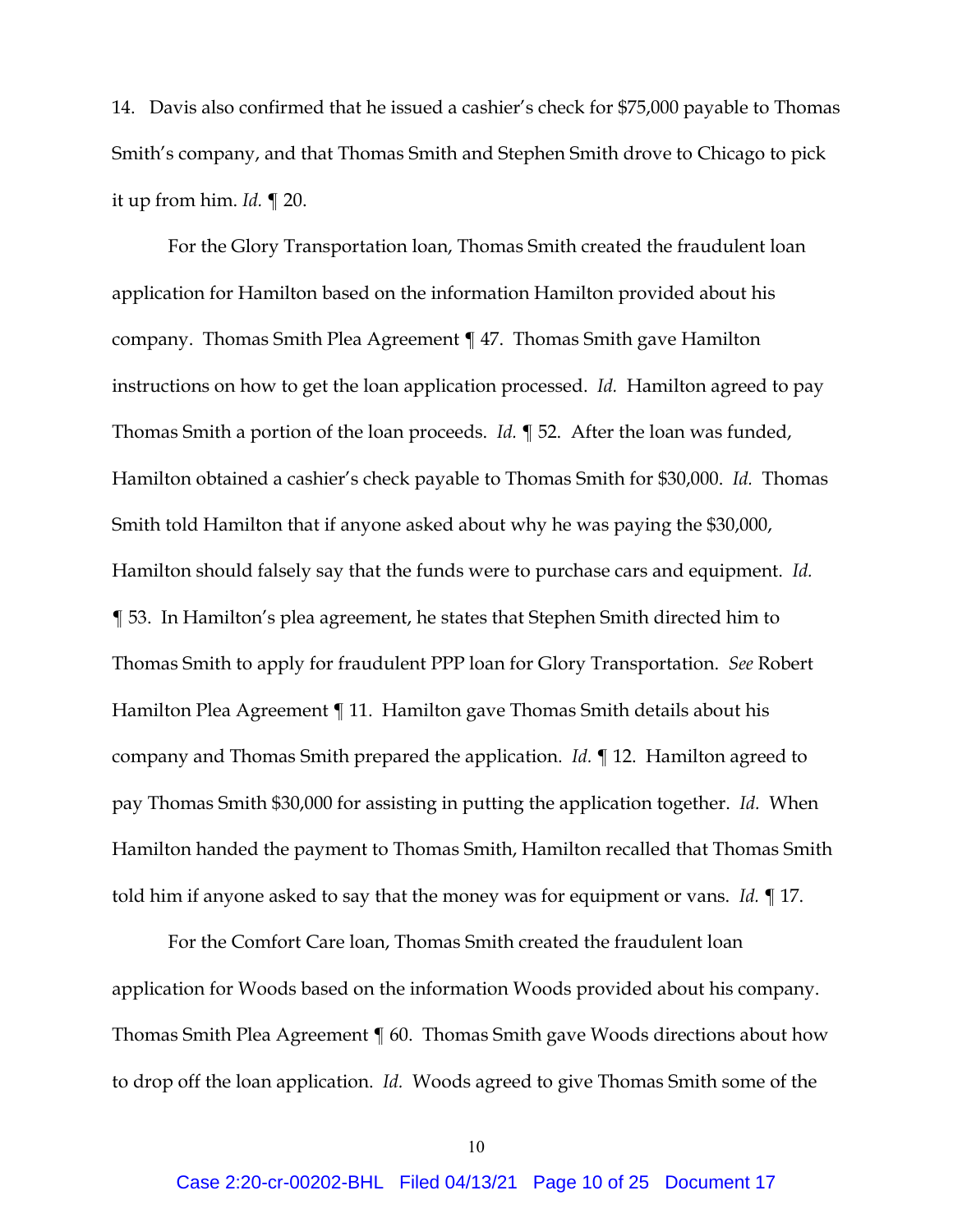14. Davis also confirmed that he issued a cashier's check for \$75,000 payable to Thomas Smith's company, and that Thomas Smith and Stephen Smith drove to Chicago to pick it up from him. *Id.* ¶ 20.

For the Glory Transportation loan, Thomas Smith created the fraudulent loan application for Hamilton based on the information Hamilton provided about his company. Thomas Smith Plea Agreement ¶ 47. Thomas Smith gave Hamilton instructions on how to get the loan application processed. *Id.* Hamilton agreed to pay Thomas Smith a portion of the loan proceeds. *Id.* ¶ 52. After the loan was funded, Hamilton obtained a cashier's check payable to Thomas Smith for \$30,000. *Id.* Thomas Smith told Hamilton that if anyone asked about why he was paying the \$30,000, Hamilton should falsely say that the funds were to purchase cars and equipment. *Id.* ¶ 53. In Hamilton's plea agreement, he states that Stephen Smith directed him to Thomas Smith to apply for fraudulent PPP loan for Glory Transportation. *See* Robert Hamilton Plea Agreement ¶ 11. Hamilton gave Thomas Smith details about his company and Thomas Smith prepared the application. *Id.* ¶ 12. Hamilton agreed to pay Thomas Smith \$30,000 for assisting in putting the application together. *Id.* When Hamilton handed the payment to Thomas Smith, Hamilton recalled that Thomas Smith told him if anyone asked to say that the money was for equipment or vans. *Id.* ¶ 17.

For the Comfort Care loan, Thomas Smith created the fraudulent loan application for Woods based on the information Woods provided about his company. Thomas Smith Plea Agreement ¶ 60. Thomas Smith gave Woods directions about how to drop off the loan application. *Id.* Woods agreed to give Thomas Smith some of the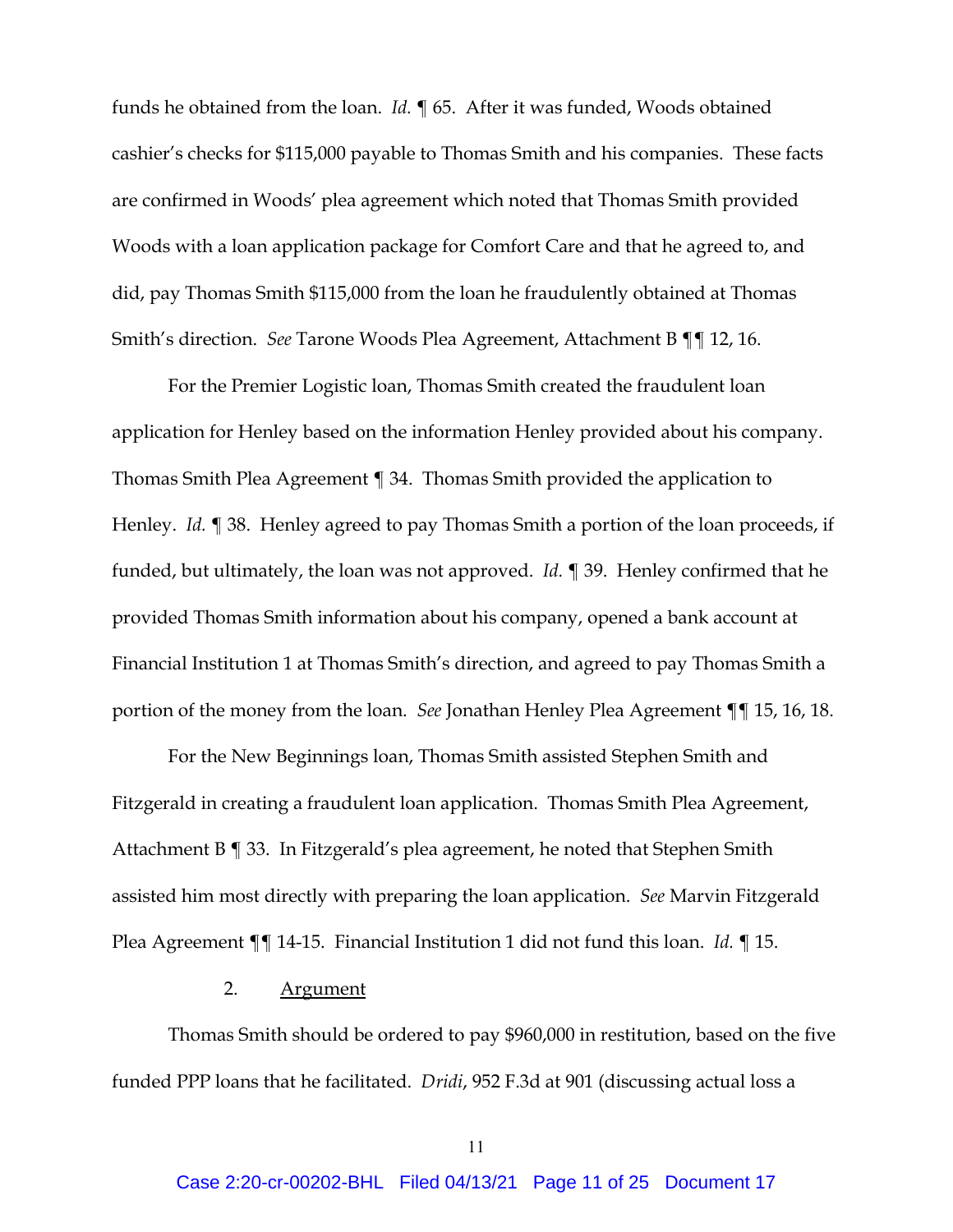funds he obtained from the loan. *Id.* ¶ 65. After it was funded, Woods obtained cashier's checks for \$115,000 payable to Thomas Smith and his companies. These facts are confirmed in Woods' plea agreement which noted that Thomas Smith provided Woods with a loan application package for Comfort Care and that he agreed to, and did, pay Thomas Smith \$115,000 from the loan he fraudulently obtained at Thomas Smith's direction. *See* Tarone Woods Plea Agreement, Attachment B ¶¶ 12, 16.

For the Premier Logistic loan, Thomas Smith created the fraudulent loan application for Henley based on the information Henley provided about his company. Thomas Smith Plea Agreement ¶ 34. Thomas Smith provided the application to Henley. *Id.* ¶ 38. Henley agreed to pay Thomas Smith a portion of the loan proceeds, if funded, but ultimately, the loan was not approved. *Id.* ¶ 39. Henley confirmed that he provided Thomas Smith information about his company, opened a bank account at Financial Institution 1 at Thomas Smith's direction, and agreed to pay Thomas Smith a portion of the money from the loan. *See* Jonathan Henley Plea Agreement ¶¶ 15, 16, 18.

For the New Beginnings loan, Thomas Smith assisted Stephen Smith and Fitzgerald in creating a fraudulent loan application. Thomas Smith Plea Agreement, Attachment B ¶ 33. In Fitzgerald's plea agreement, he noted that Stephen Smith assisted him most directly with preparing the loan application. *See* Marvin Fitzgerald Plea Agreement ¶¶ 14-15. Financial Institution 1 did not fund this loan. *Id.* ¶ 15.

#### 2. Argument

Thomas Smith should be ordered to pay \$960,000 in restitution, based on the five funded PPP loans that he facilitated. *Dridi*, 952 F.3d at 901 (discussing actual loss a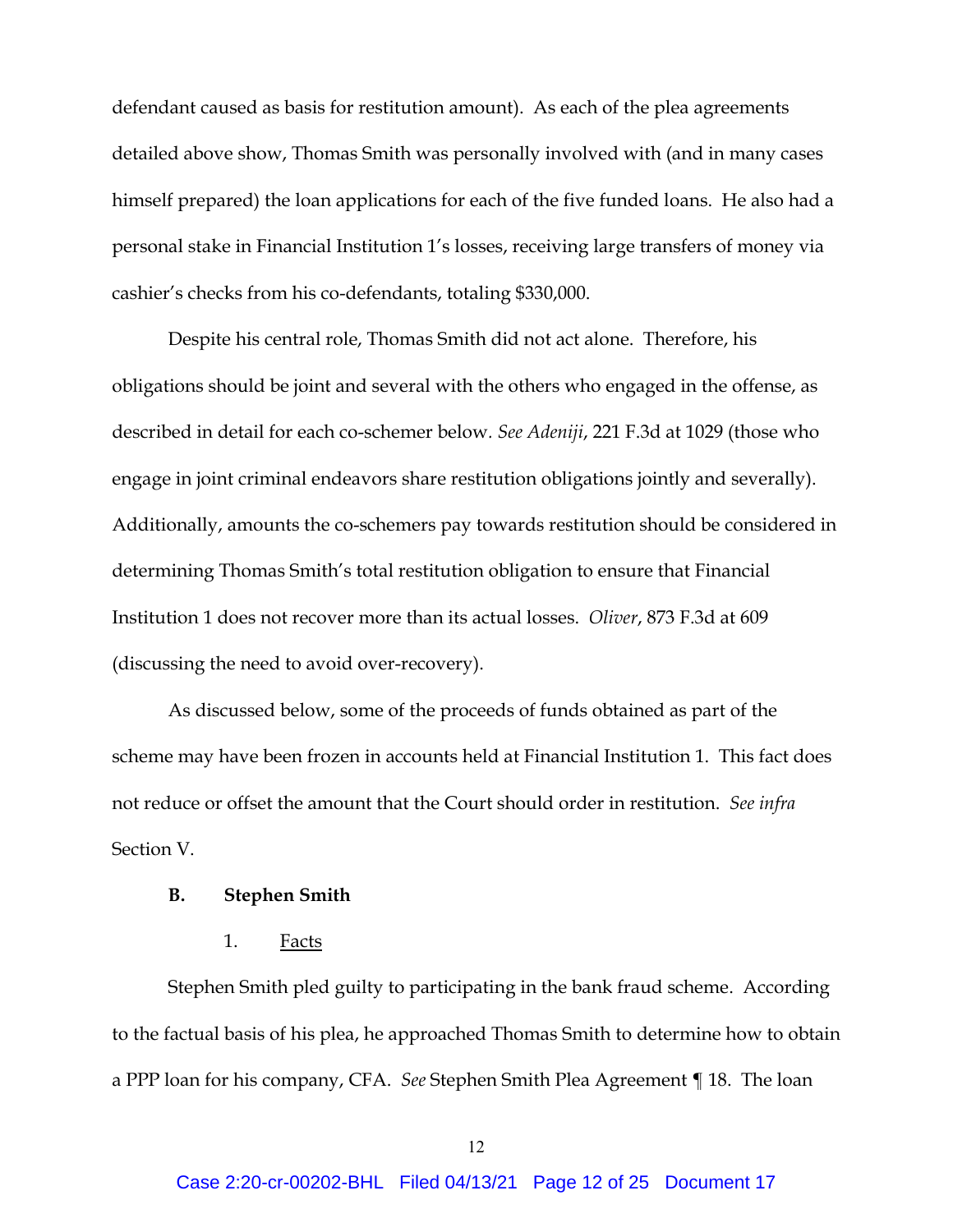defendant caused as basis for restitution amount). As each of the plea agreements detailed above show, Thomas Smith was personally involved with (and in many cases himself prepared) the loan applications for each of the five funded loans. He also had a personal stake in Financial Institution 1's losses, receiving large transfers of money via cashier's checks from his co-defendants, totaling \$330,000.

Despite his central role, Thomas Smith did not act alone. Therefore, his obligations should be joint and several with the others who engaged in the offense, as described in detail for each co-schemer below*. See Adeniji*, 221 F.3d at 1029 (those who engage in joint criminal endeavors share restitution obligations jointly and severally). Additionally, amounts the co-schemers pay towards restitution should be considered in determining Thomas Smith's total restitution obligation to ensure that Financial Institution 1 does not recover more than its actual losses. *Oliver*, 873 F.3d at 609 (discussing the need to avoid over-recovery).

As discussed below, some of the proceeds of funds obtained as part of the scheme may have been frozen in accounts held at Financial Institution 1. This fact does not reduce or offset the amount that the Court should order in restitution. *See infra*  Section V.

#### **B. Stephen Smith**

### 1. Facts

Stephen Smith pled guilty to participating in the bank fraud scheme. According to the factual basis of his plea, he approached Thomas Smith to determine how to obtain a PPP loan for his company, CFA. *See* Stephen Smith Plea Agreement ¶ 18. The loan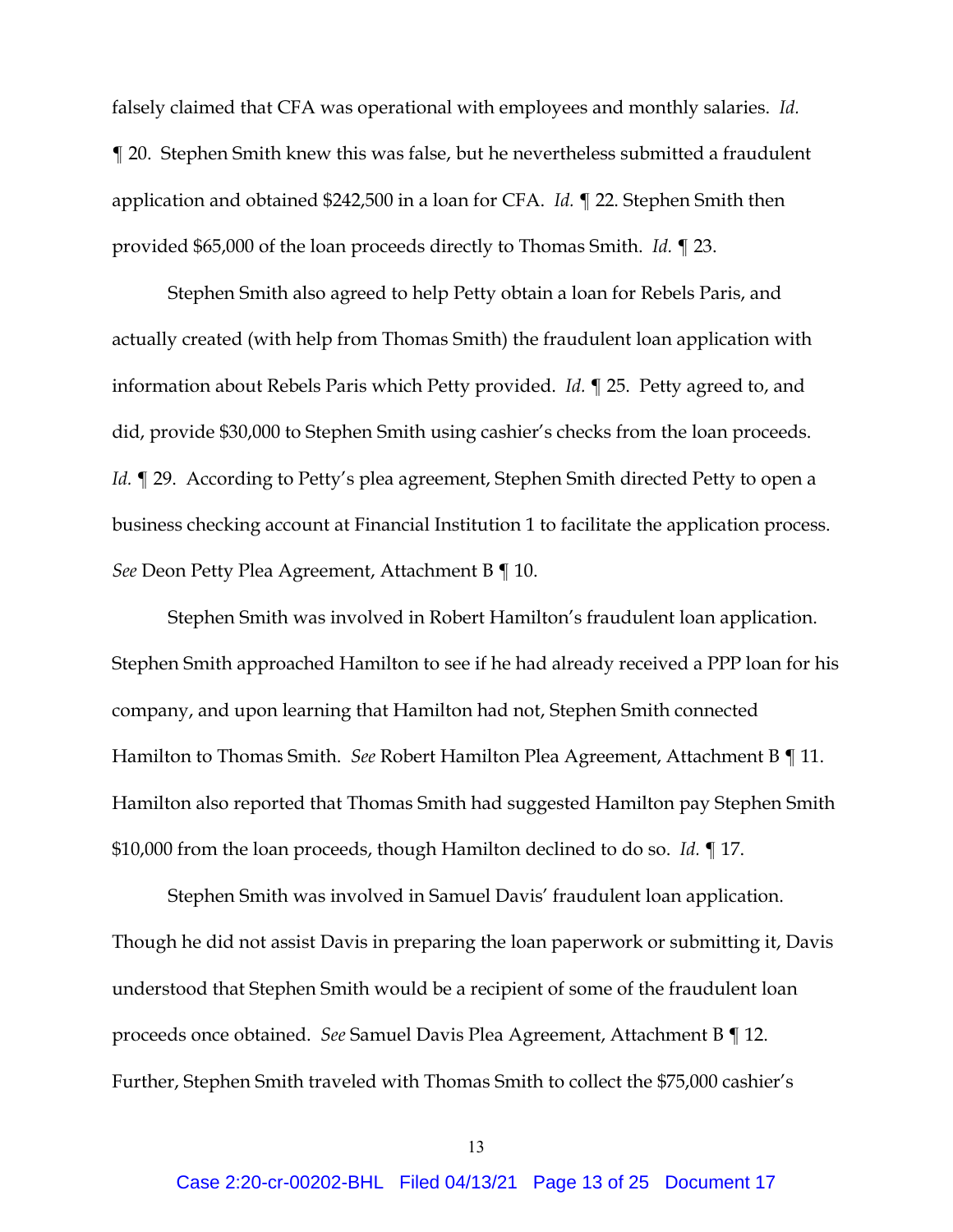falsely claimed that CFA was operational with employees and monthly salaries. *Id.* ¶ 20. Stephen Smith knew this was false, but he nevertheless submitted a fraudulent application and obtained \$242,500 in a loan for CFA. *Id.* ¶ 22. Stephen Smith then provided \$65,000 of the loan proceeds directly to Thomas Smith. *Id.* ¶ 23.

Stephen Smith also agreed to help Petty obtain a loan for Rebels Paris, and actually created (with help from Thomas Smith) the fraudulent loan application with information about Rebels Paris which Petty provided. *Id.* ¶ 25. Petty agreed to, and did, provide \$30,000 to Stephen Smith using cashier's checks from the loan proceeds. *Id.*  $\P$  29. According to Petty's plea agreement, Stephen Smith directed Petty to open a business checking account at Financial Institution 1 to facilitate the application process. *See* Deon Petty Plea Agreement, Attachment B ¶ 10.

Stephen Smith was involved in Robert Hamilton's fraudulent loan application. Stephen Smith approached Hamilton to see if he had already received a PPP loan for his company, and upon learning that Hamilton had not, Stephen Smith connected Hamilton to Thomas Smith. *See* Robert Hamilton Plea Agreement, Attachment B ¶ 11. Hamilton also reported that Thomas Smith had suggested Hamilton pay Stephen Smith \$10,000 from the loan proceeds, though Hamilton declined to do so. *Id.* ¶ 17.

Stephen Smith was involved in Samuel Davis' fraudulent loan application. Though he did not assist Davis in preparing the loan paperwork or submitting it, Davis understood that Stephen Smith would be a recipient of some of the fraudulent loan proceeds once obtained. *See* Samuel Davis Plea Agreement, Attachment B ¶ 12. Further, Stephen Smith traveled with Thomas Smith to collect the \$75,000 cashier's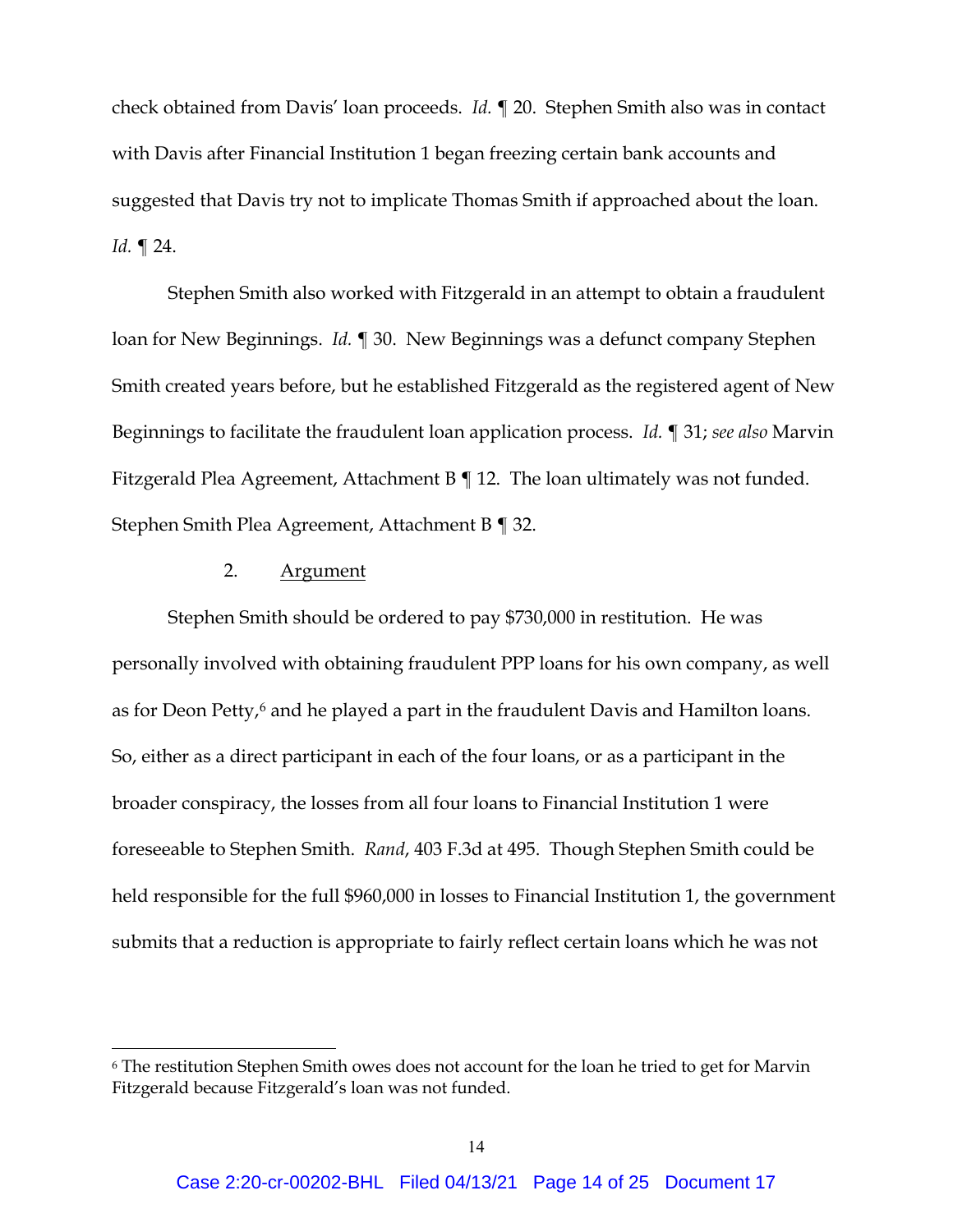check obtained from Davis' loan proceeds. *Id.* ¶ 20. Stephen Smith also was in contact with Davis after Financial Institution 1 began freezing certain bank accounts and suggested that Davis try not to implicate Thomas Smith if approached about the loan. *Id.* ¶ 24.

Stephen Smith also worked with Fitzgerald in an attempt to obtain a fraudulent loan for New Beginnings. *Id.* ¶ 30. New Beginnings was a defunct company Stephen Smith created years before, but he established Fitzgerald as the registered agent of New Beginnings to facilitate the fraudulent loan application process. *Id.* ¶ 31; *see also* Marvin Fitzgerald Plea Agreement, Attachment B ¶ 12. The loan ultimately was not funded. Stephen Smith Plea Agreement, Attachment B ¶ 32.

#### 2. Argument

Stephen Smith should be ordered to pay \$730,000 in restitution. He was personally involved with obtaining fraudulent PPP loans for his own company, as well as for Deon Petty,<sup>[6](#page-13-0)</sup> and he played a part in the fraudulent Davis and Hamilton loans. So, either as a direct participant in each of the four loans, or as a participant in the broader conspiracy, the losses from all four loans to Financial Institution 1 were foreseeable to Stephen Smith. *Rand*, 403 F.3d at 495. Though Stephen Smith could be held responsible for the full \$960,000 in losses to Financial Institution 1, the government submits that a reduction is appropriate to fairly reflect certain loans which he was not

<span id="page-13-0"></span><sup>6</sup> The restitution Stephen Smith owes does not account for the loan he tried to get for Marvin Fitzgerald because Fitzgerald's loan was not funded.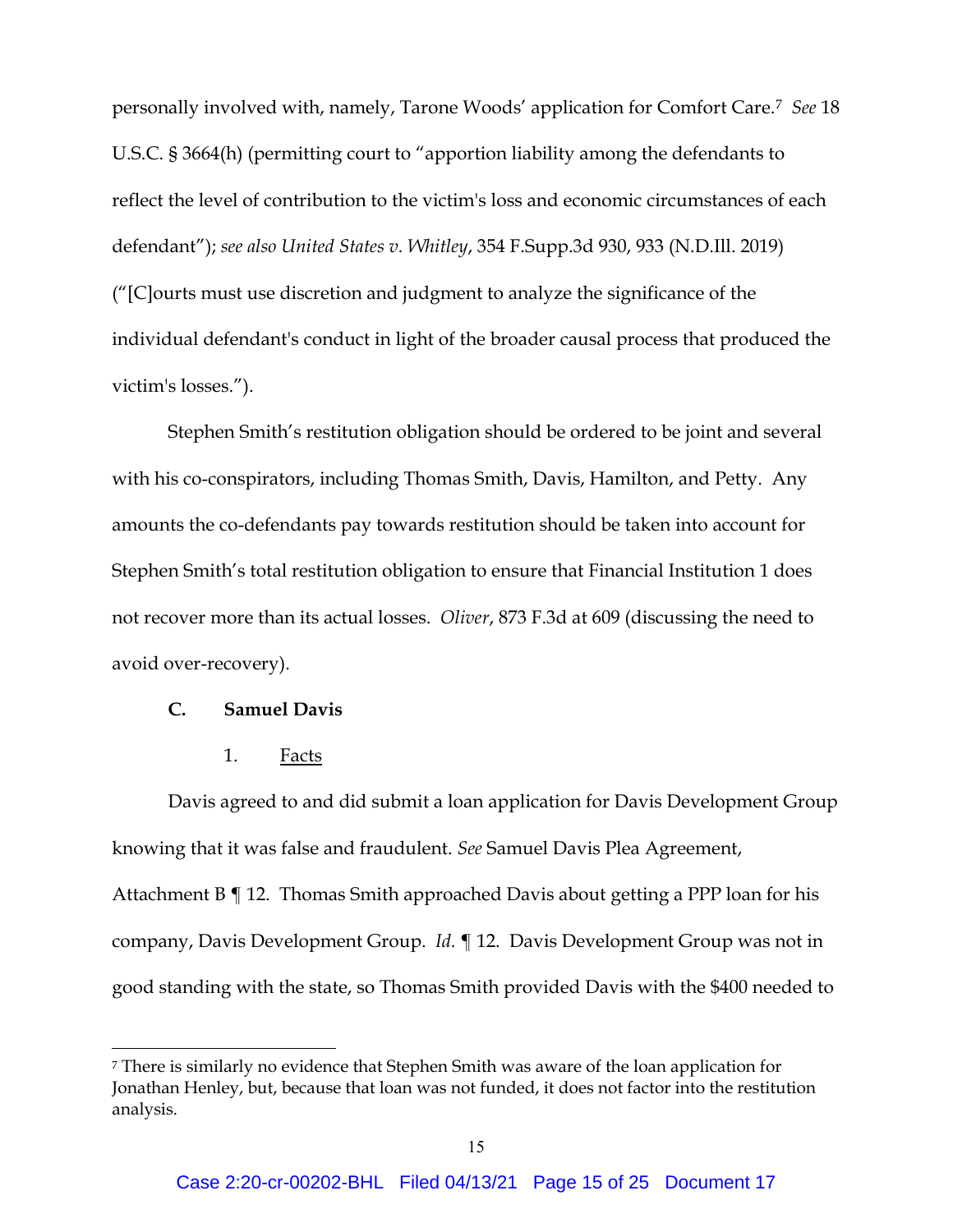personally involved with, namely, Tarone Woods' application for Comfort Care.[7](#page-14-0) *See* 18 U.S.C. § 3664(h) (permitting court to "apportion liability among the defendants to reflect the level of contribution to the victim's loss and economic circumstances of each defendant"); *see also United States v. Whitley*, 354 F.Supp.3d 930, 933 (N.D.Ill. 2019) ("[C]ourts must use discretion and judgment to analyze the significance of the individual defendant's conduct in light of the broader causal process that produced the victim's losses.").

Stephen Smith's restitution obligation should be ordered to be joint and several with his co-conspirators, including Thomas Smith, Davis, Hamilton, and Petty. Any amounts the co-defendants pay towards restitution should be taken into account for Stephen Smith's total restitution obligation to ensure that Financial Institution 1 does not recover more than its actual losses. *Oliver*, 873 F.3d at 609 (discussing the need to avoid over-recovery).

#### **C. Samuel Davis**

1. Facts

Davis agreed to and did submit a loan application for Davis Development Group knowing that it was false and fraudulent. *See* Samuel Davis Plea Agreement, Attachment B ¶ 12. Thomas Smith approached Davis about getting a PPP loan for his company, Davis Development Group. *Id.* ¶ 12. Davis Development Group was not in good standing with the state, so Thomas Smith provided Davis with the \$400 needed to

<span id="page-14-0"></span><sup>7</sup> There is similarly no evidence that Stephen Smith was aware of the loan application for Jonathan Henley, but, because that loan was not funded, it does not factor into the restitution analysis.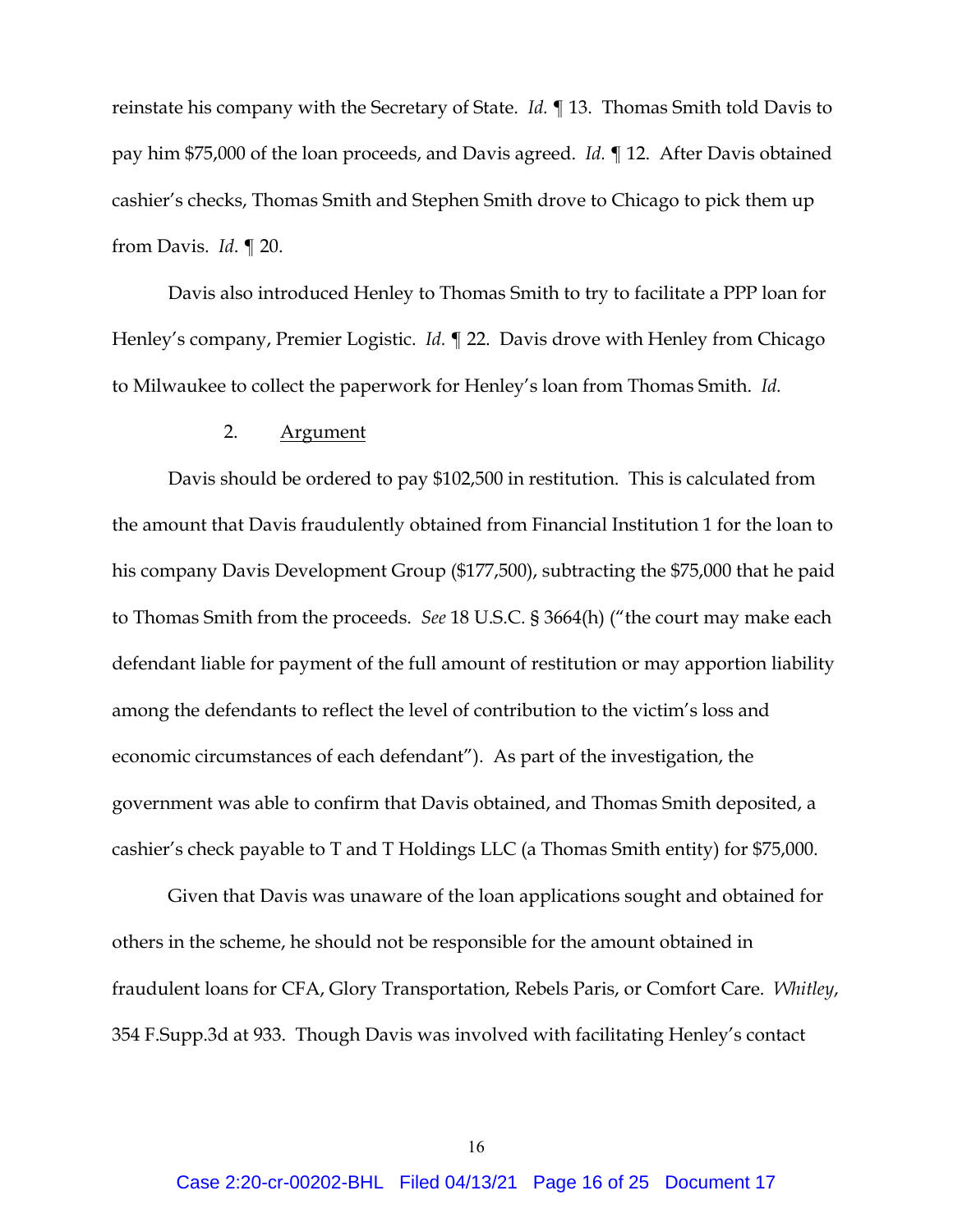reinstate his company with the Secretary of State. *Id.* ¶ 13. Thomas Smith told Davis to pay him \$75,000 of the loan proceeds, and Davis agreed. *Id.* ¶ 12. After Davis obtained cashier's checks, Thomas Smith and Stephen Smith drove to Chicago to pick them up from Davis. *Id*. ¶ 20.

Davis also introduced Henley to Thomas Smith to try to facilitate a PPP loan for Henley's company, Premier Logistic. *Id.* ¶ 22. Davis drove with Henley from Chicago to Milwaukee to collect the paperwork for Henley's loan from Thomas Smith. *Id.*

### 2. Argument

Davis should be ordered to pay \$102,500 in restitution. This is calculated from the amount that Davis fraudulently obtained from Financial Institution 1 for the loan to his company Davis Development Group (\$177,500), subtracting the \$75,000 that he paid to Thomas Smith from the proceeds. *See* 18 U.S.C. § 3664(h) ("the court may make each defendant liable for payment of the full amount of restitution or may apportion liability among the defendants to reflect the level of contribution to the victim's loss and economic circumstances of each defendant"). As part of the investigation, the government was able to confirm that Davis obtained, and Thomas Smith deposited, a cashier's check payable to T and T Holdings LLC (a Thomas Smith entity) for \$75,000.

Given that Davis was unaware of the loan applications sought and obtained for others in the scheme, he should not be responsible for the amount obtained in fraudulent loans for CFA, Glory Transportation, Rebels Paris, or Comfort Care. *Whitley*, 354 F.Supp.3d at 933. Though Davis was involved with facilitating Henley's contact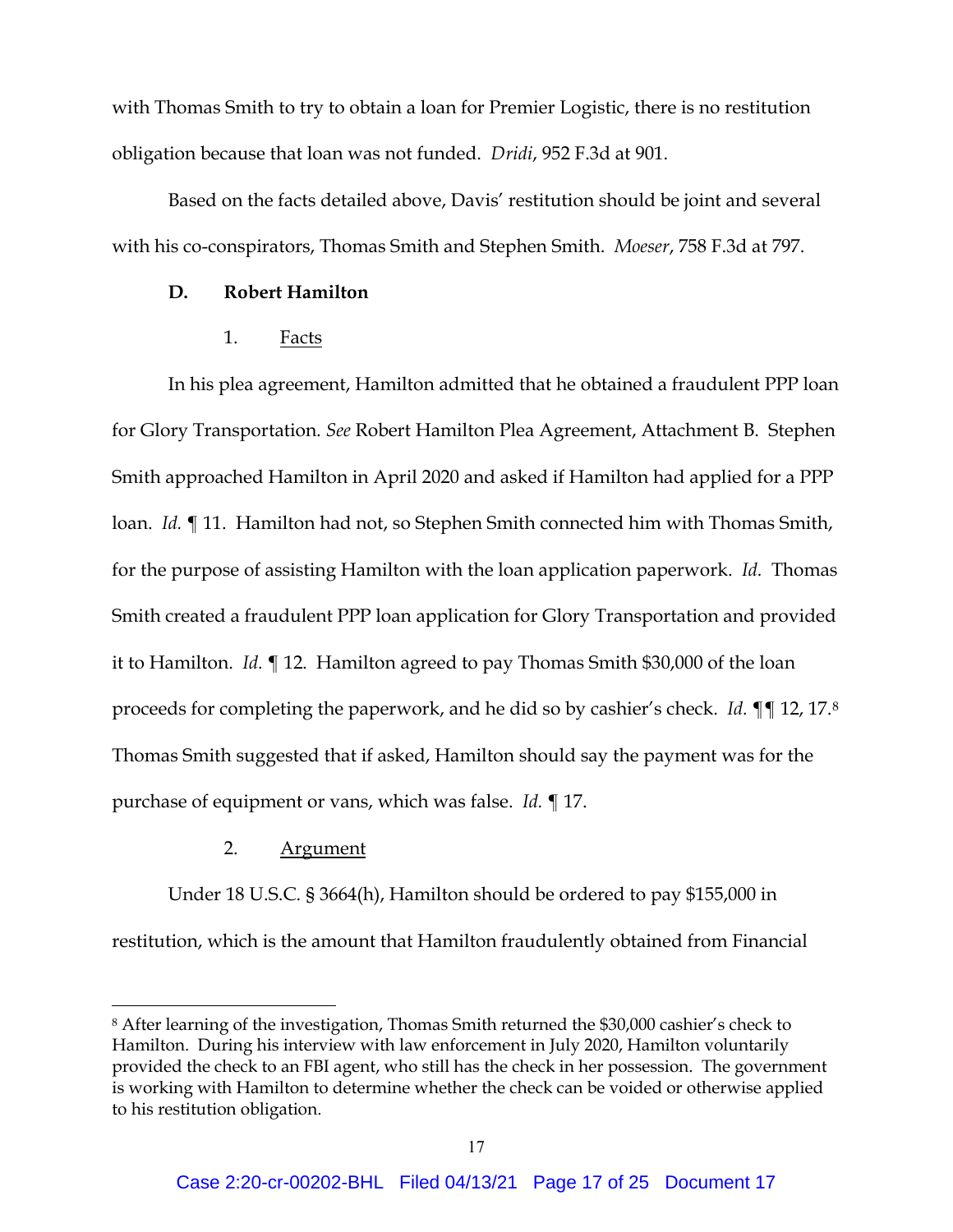with Thomas Smith to try to obtain a loan for Premier Logistic, there is no restitution obligation because that loan was not funded. *Dridi*, 952 F.3d at 901.

Based on the facts detailed above, Davis' restitution should be joint and several with his co-conspirators, Thomas Smith and Stephen Smith. *Moeser*, 758 F.3d at 797.

### **D. Robert Hamilton**

### 1. Facts

In his plea agreement, Hamilton admitted that he obtained a fraudulent PPP loan for Glory Transportation. *See* Robert Hamilton Plea Agreement, Attachment B. Stephen Smith approached Hamilton in April 2020 and asked if Hamilton had applied for a PPP loan. *Id.* ¶ 11. Hamilton had not, so Stephen Smith connected him with Thomas Smith, for the purpose of assisting Hamilton with the loan application paperwork. *Id.* Thomas Smith created a fraudulent PPP loan application for Glory Transportation and provided it to Hamilton. *Id.* ¶ 12. Hamilton agreed to pay Thomas Smith \$30,000 of the loan proceeds for completing the paperwork, and he did so by cashier's check. *Id.* ¶¶ 12, 17.[8](#page-16-0) Thomas Smith suggested that if asked, Hamilton should say the payment was for the purchase of equipment or vans, which was false. *Id.* ¶ 17.

### 2. Argument

Under 18 U.S.C. § 3664(h), Hamilton should be ordered to pay \$155,000 in restitution, which is the amount that Hamilton fraudulently obtained from Financial

<span id="page-16-0"></span><sup>8</sup> After learning of the investigation, Thomas Smith returned the \$30,000 cashier's check to Hamilton. During his interview with law enforcement in July 2020, Hamilton voluntarily provided the check to an FBI agent, who still has the check in her possession. The government is working with Hamilton to determine whether the check can be voided or otherwise applied to his restitution obligation.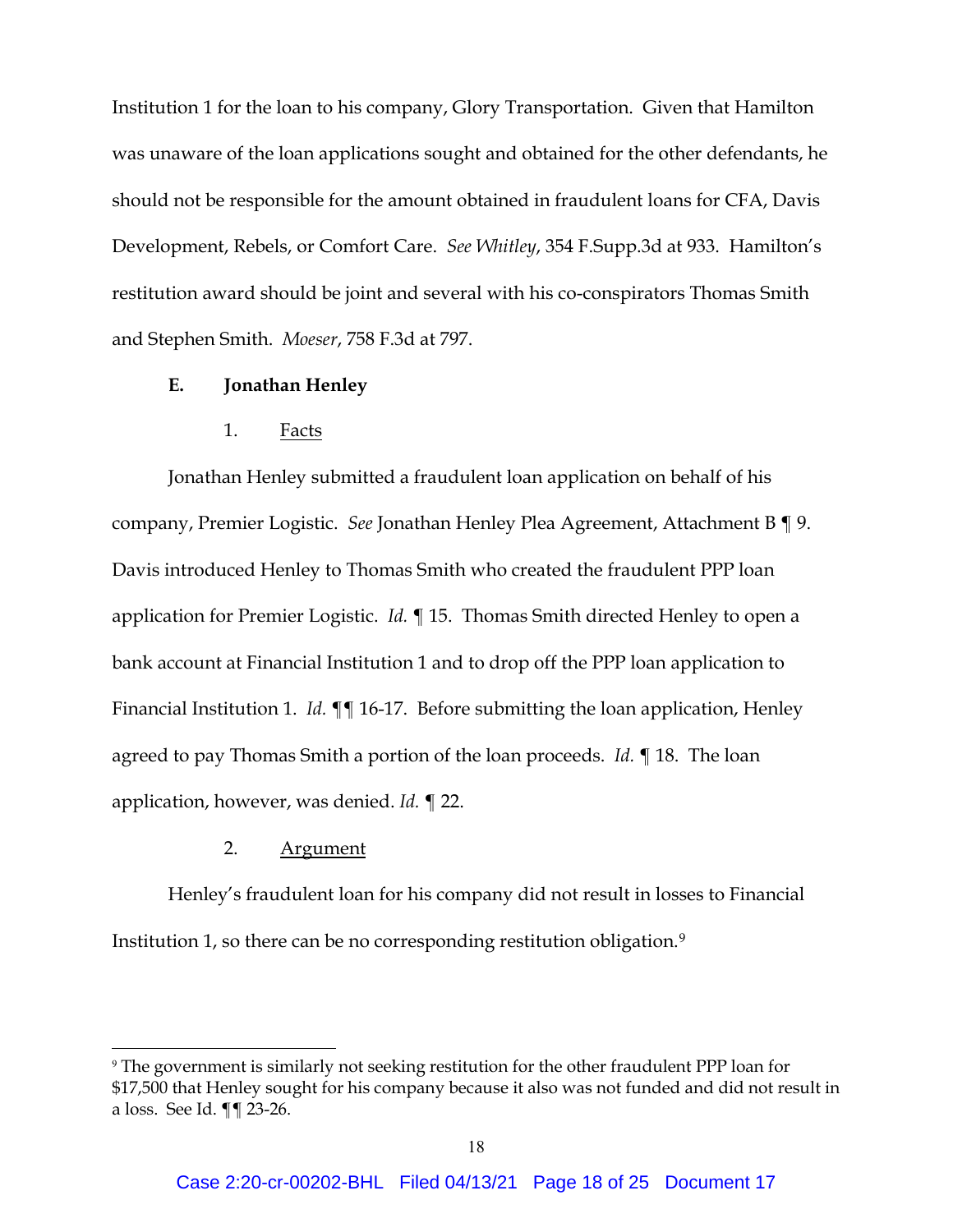Institution 1 for the loan to his company, Glory Transportation. Given that Hamilton was unaware of the loan applications sought and obtained for the other defendants, he should not be responsible for the amount obtained in fraudulent loans for CFA, Davis Development, Rebels, or Comfort Care. *See Whitley*, 354 F.Supp.3d at 933. Hamilton's restitution award should be joint and several with his co-conspirators Thomas Smith and Stephen Smith. *Moeser*, 758 F.3d at 797.

### **E. Jonathan Henley**

### 1. Facts

Jonathan Henley submitted a fraudulent loan application on behalf of his company, Premier Logistic. *See* Jonathan Henley Plea Agreement, Attachment B ¶ 9. Davis introduced Henley to Thomas Smith who created the fraudulent PPP loan application for Premier Logistic. *Id.* ¶ 15. Thomas Smith directed Henley to open a bank account at Financial Institution 1 and to drop off the PPP loan application to Financial Institution 1. *Id.* ¶¶ 16-17. Before submitting the loan application, Henley agreed to pay Thomas Smith a portion of the loan proceeds. *Id.* ¶ 18. The loan application, however, was denied. *Id.* ¶ 22.

### 2. Argument

Henley's fraudulent loan for his company did not result in losses to Financial Institution 1, so there can be no corresponding restitution obligation.[9](#page-17-0)

<span id="page-17-0"></span><sup>9</sup> The government is similarly not seeking restitution for the other fraudulent PPP loan for \$17,500 that Henley sought for his company because it also was not funded and did not result in a loss. See Id. ¶¶ 23-26.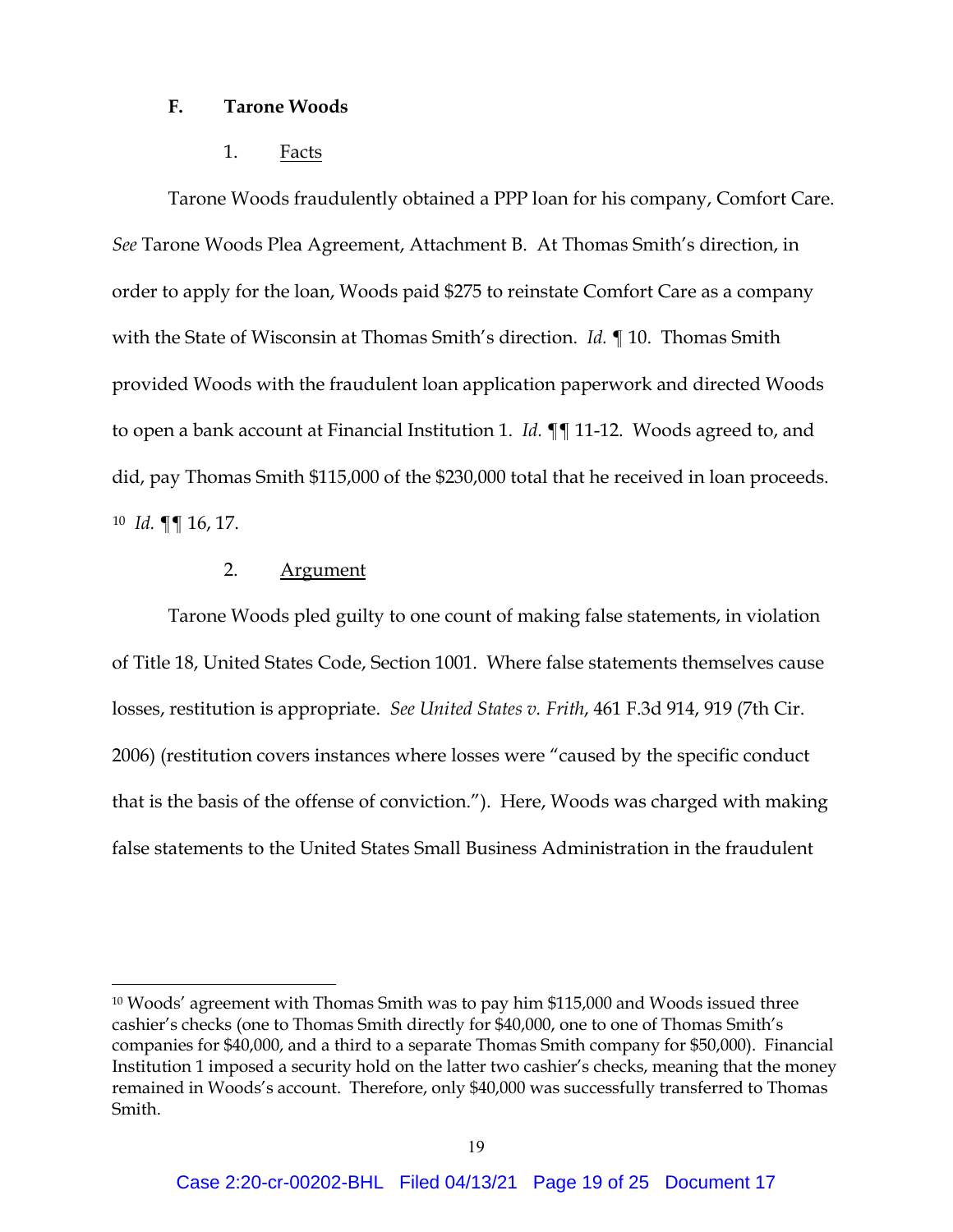### **F. Tarone Woods**

1. Facts

Tarone Woods fraudulently obtained a PPP loan for his company, Comfort Care. *See* Tarone Woods Plea Agreement, Attachment B. At Thomas Smith's direction, in order to apply for the loan, Woods paid \$275 to reinstate Comfort Care as a company with the State of Wisconsin at Thomas Smith's direction. *Id.* ¶ 10. Thomas Smith provided Woods with the fraudulent loan application paperwork and directed Woods to open a bank account at Financial Institution 1. *Id.* ¶¶ 11-12. Woods agreed to, and did, pay Thomas Smith \$115,000 of the \$230,000 total that he received in loan proceeds. [10](#page-18-0) *Id.* ¶¶ 16, 17.

### 2. Argument

Tarone Woods pled guilty to one count of making false statements, in violation of Title 18, United States Code, Section 1001. Where false statements themselves cause losses, restitution is appropriate. *See United States v. Frith*, 461 F.3d 914, 919 (7th Cir. 2006) (restitution covers instances where losses were "caused by the specific conduct that is the basis of the offense of conviction."). Here, Woods was charged with making false statements to the United States Small Business Administration in the fraudulent

<span id="page-18-0"></span><sup>10</sup> Woods' agreement with Thomas Smith was to pay him \$115,000 and Woods issued three cashier's checks (one to Thomas Smith directly for \$40,000, one to one of Thomas Smith's companies for \$40,000, and a third to a separate Thomas Smith company for \$50,000). Financial Institution 1 imposed a security hold on the latter two cashier's checks, meaning that the money remained in Woods's account. Therefore, only \$40,000 was successfully transferred to Thomas Smith.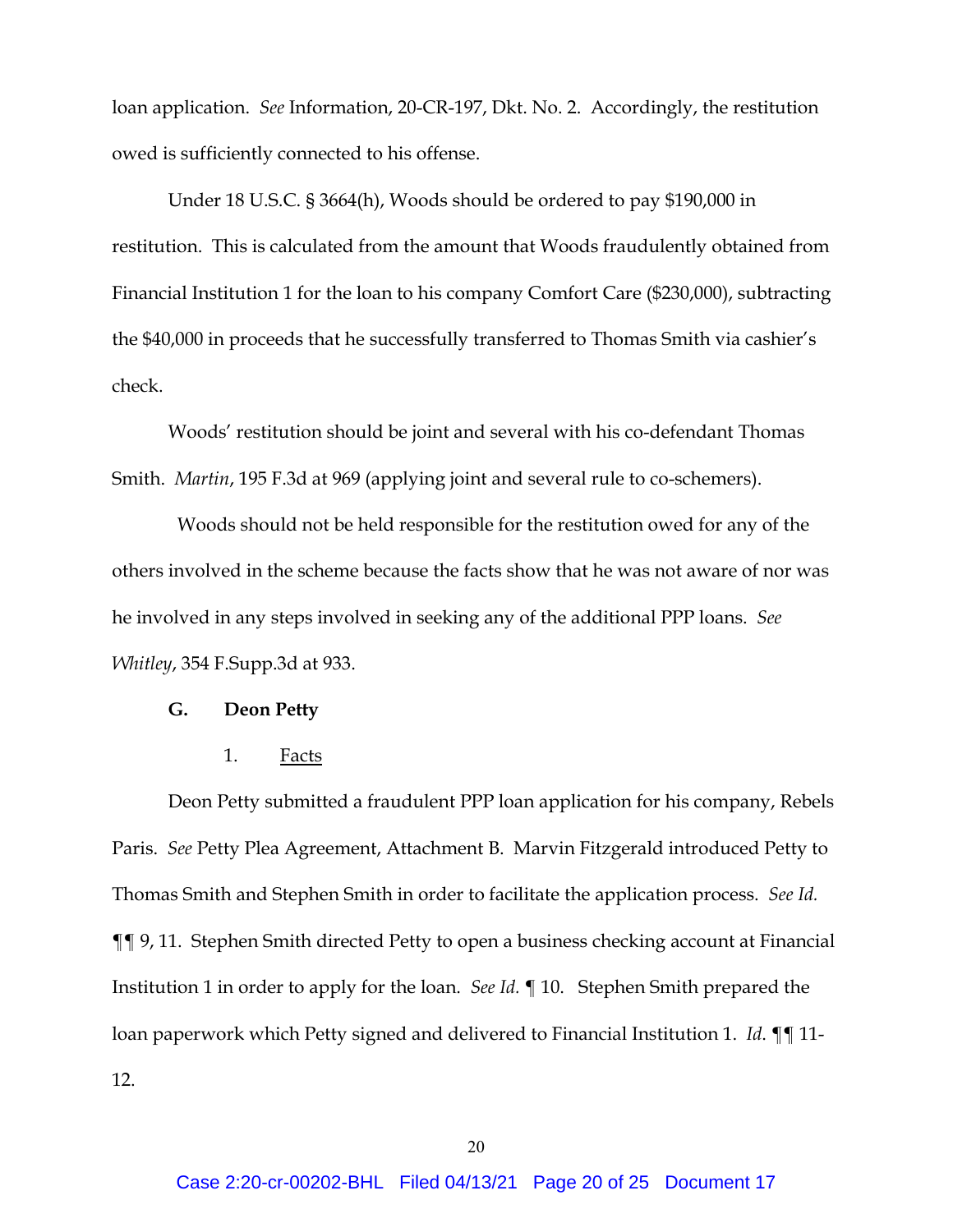loan application. *See* Information, 20-CR-197, Dkt. No. 2. Accordingly, the restitution owed is sufficiently connected to his offense.

Under 18 U.S.C. § 3664(h), Woods should be ordered to pay \$190,000 in restitution. This is calculated from the amount that Woods fraudulently obtained from Financial Institution 1 for the loan to his company Comfort Care (\$230,000), subtracting the \$40,000 in proceeds that he successfully transferred to Thomas Smith via cashier's check.

Woods' restitution should be joint and several with his co-defendant Thomas Smith. *Martin*, 195 F.3d at 969 (applying joint and several rule to co-schemers).

 Woods should not be held responsible for the restitution owed for any of the others involved in the scheme because the facts show that he was not aware of nor was he involved in any steps involved in seeking any of the additional PPP loans. *See Whitley*, 354 F.Supp.3d at 933.

#### **G. Deon Petty**

1. Facts

Deon Petty submitted a fraudulent PPP loan application for his company, Rebels Paris. *See* Petty Plea Agreement, Attachment B. Marvin Fitzgerald introduced Petty to Thomas Smith and Stephen Smith in order to facilitate the application process. *See Id.* ¶¶ 9, 11. Stephen Smith directed Petty to open a business checking account at Financial Institution 1 in order to apply for the loan. *See Id.* ¶ 10. Stephen Smith prepared the loan paperwork which Petty signed and delivered to Financial Institution 1. *Id*. ¶¶ 11- 12.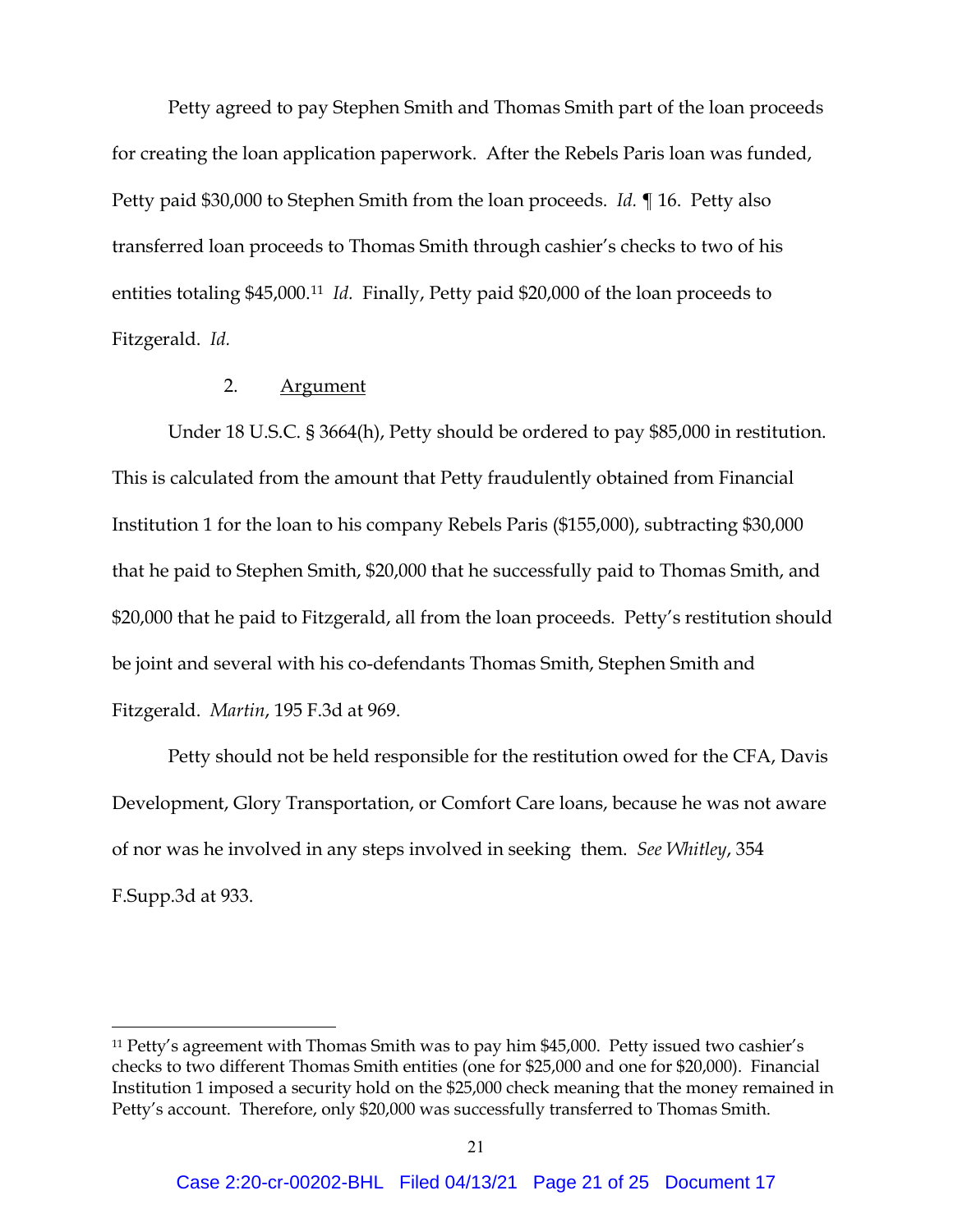Petty agreed to pay Stephen Smith and Thomas Smith part of the loan proceeds for creating the loan application paperwork. After the Rebels Paris loan was funded, Petty paid \$30,000 to Stephen Smith from the loan proceeds. *Id.* ¶ 16. Petty also transferred loan proceeds to Thomas Smith through cashier's checks to two of his entities totaling \$45,000.[11](#page-20-0) *Id.* Finally, Petty paid \$20,000 of the loan proceeds to Fitzgerald. *Id.*

## 2. Argument

Under 18 U.S.C. § 3664(h), Petty should be ordered to pay \$85,000 in restitution. This is calculated from the amount that Petty fraudulently obtained from Financial Institution 1 for the loan to his company Rebels Paris (\$155,000), subtracting \$30,000 that he paid to Stephen Smith, \$20,000 that he successfully paid to Thomas Smith, and \$20,000 that he paid to Fitzgerald, all from the loan proceeds. Petty's restitution should be joint and several with his co-defendants Thomas Smith, Stephen Smith and Fitzgerald. *Martin*, 195 F.3d at 969.

Petty should not be held responsible for the restitution owed for the CFA, Davis Development, Glory Transportation, or Comfort Care loans, because he was not aware of nor was he involved in any steps involved in seeking them. *See Whitley*, 354 F.Supp.3d at 933.

<span id="page-20-0"></span><sup>11</sup> Petty's agreement with Thomas Smith was to pay him \$45,000. Petty issued two cashier's checks to two different Thomas Smith entities (one for \$25,000 and one for \$20,000). Financial Institution 1 imposed a security hold on the \$25,000 check meaning that the money remained in Petty's account. Therefore, only \$20,000 was successfully transferred to Thomas Smith.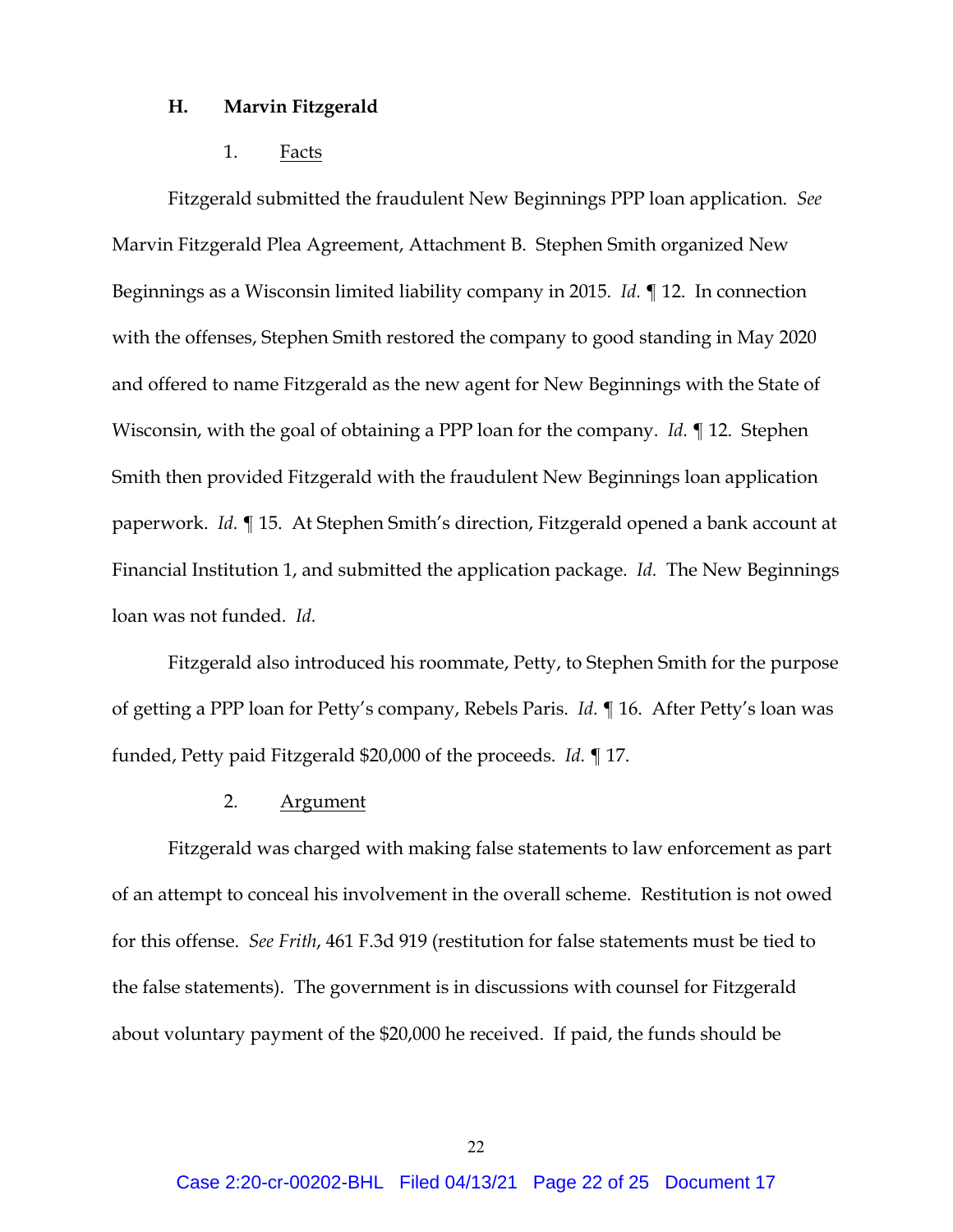#### **H. Marvin Fitzgerald**

#### 1. Facts

Fitzgerald submitted the fraudulent New Beginnings PPP loan application. *See* Marvin Fitzgerald Plea Agreement, Attachment B. Stephen Smith organized New Beginnings as a Wisconsin limited liability company in 2015. *Id.* ¶ 12. In connection with the offenses, Stephen Smith restored the company to good standing in May 2020 and offered to name Fitzgerald as the new agent for New Beginnings with the State of Wisconsin, with the goal of obtaining a PPP loan for the company. *Id.* ¶ 12. Stephen Smith then provided Fitzgerald with the fraudulent New Beginnings loan application paperwork. *Id.* ¶ 15. At Stephen Smith's direction, Fitzgerald opened a bank account at Financial Institution 1, and submitted the application package. *Id.* The New Beginnings loan was not funded. *Id.*

Fitzgerald also introduced his roommate, Petty, to Stephen Smith for the purpose of getting a PPP loan for Petty's company, Rebels Paris. *Id.* ¶ 16. After Petty's loan was funded, Petty paid Fitzgerald \$20,000 of the proceeds. *Id.* ¶ 17.

#### 2. Argument

Fitzgerald was charged with making false statements to law enforcement as part of an attempt to conceal his involvement in the overall scheme. Restitution is not owed for this offense. *See Frith*, 461 F.3d 919 (restitution for false statements must be tied to the false statements). The government is in discussions with counsel for Fitzgerald about voluntary payment of the \$20,000 he received. If paid, the funds should be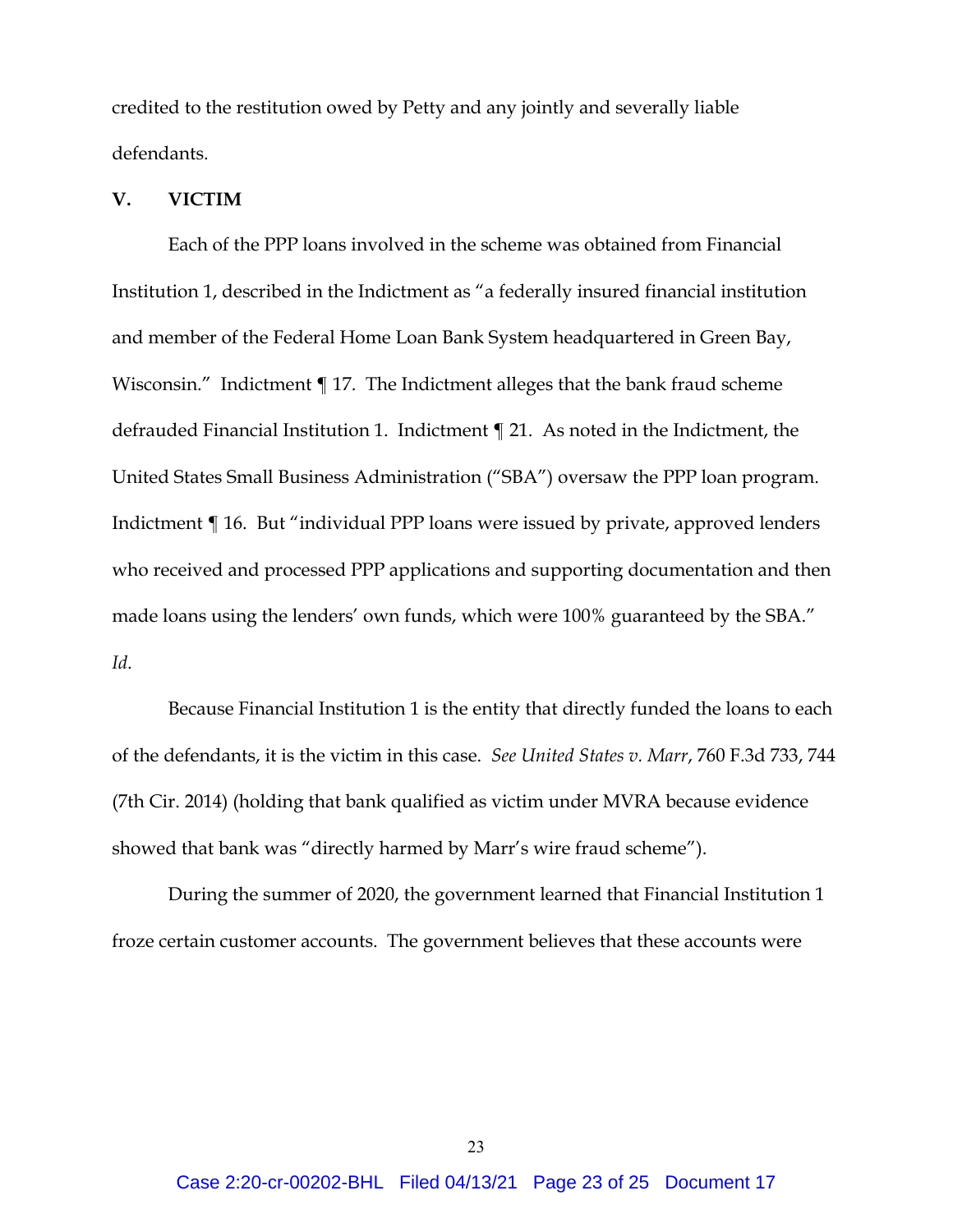credited to the restitution owed by Petty and any jointly and severally liable defendants.

### **V. VICTIM**

Each of the PPP loans involved in the scheme was obtained from Financial Institution 1, described in the Indictment as "a federally insured financial institution and member of the Federal Home Loan Bank System headquartered in Green Bay, Wisconsin." Indictment ¶ 17. The Indictment alleges that the bank fraud scheme defrauded Financial Institution 1. Indictment ¶ 21. As noted in the Indictment, the United States Small Business Administration ("SBA") oversaw the PPP loan program. Indictment ¶ 16. But "individual PPP loans were issued by private, approved lenders who received and processed PPP applications and supporting documentation and then made loans using the lenders' own funds, which were 100% guaranteed by the SBA." *Id*.

Because Financial Institution 1 is the entity that directly funded the loans to each of the defendants, it is the victim in this case. *See United States v. Marr*, 760 F.3d 733, 744 (7th Cir. 2014) (holding that bank qualified as victim under MVRA because evidence showed that bank was "directly harmed by Marr's wire fraud scheme").

During the summer of 2020, the government learned that Financial Institution 1 froze certain customer accounts. The government believes that these accounts were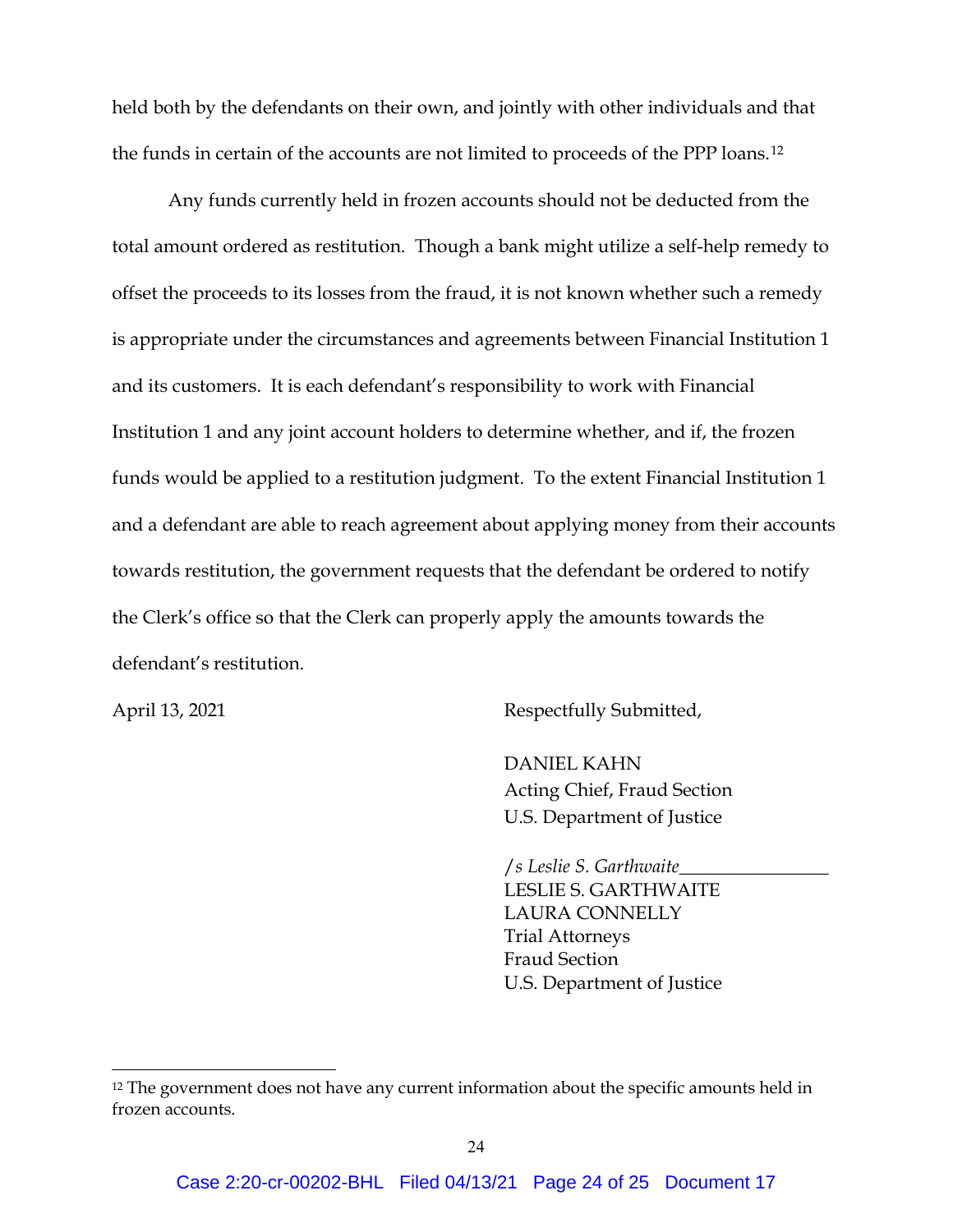held both by the defendants on their own, and jointly with other individuals and that the funds in certain of the accounts are not limited to proceeds of the PPP loans.[12](#page-23-0) 

Any funds currently held in frozen accounts should not be deducted from the total amount ordered as restitution. Though a bank might utilize a self-help remedy to offset the proceeds to its losses from the fraud, it is not known whether such a remedy is appropriate under the circumstances and agreements between Financial Institution 1 and its customers. It is each defendant's responsibility to work with Financial Institution 1 and any joint account holders to determine whether, and if, the frozen funds would be applied to a restitution judgment. To the extent Financial Institution 1 and a defendant are able to reach agreement about applying money from their accounts towards restitution, the government requests that the defendant be ordered to notify the Clerk's office so that the Clerk can properly apply the amounts towards the defendant's restitution.

April 13, 2021 Respectfully Submitted,

DANIEL KAHN Acting Chief, Fraud Section U.S. Department of Justice

/*s Leslie S. Garthwaite*\_\_\_\_\_\_\_\_\_\_\_\_\_\_\_\_ LESLIE S. GARTHWAITE LAURA CONNELLY Trial Attorneys Fraud Section U.S. Department of Justice

<span id="page-23-0"></span><sup>&</sup>lt;sup>12</sup> The government does not have any current information about the specific amounts held in frozen accounts.